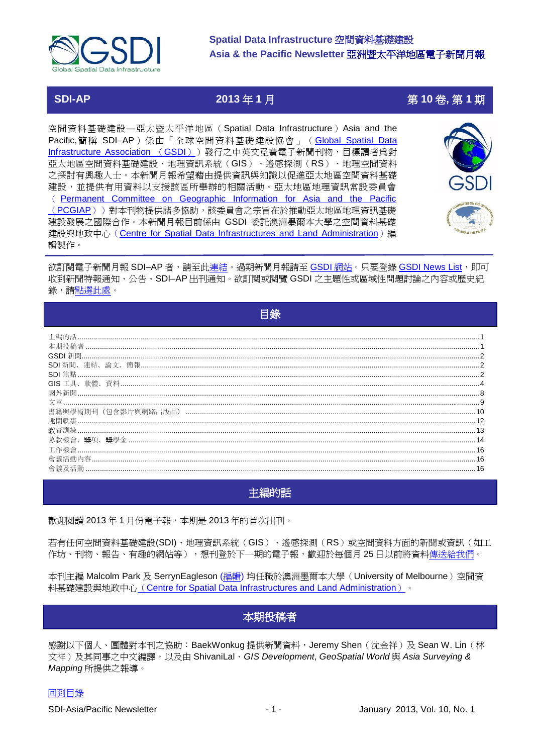

## **SDI-AP**

## 2013年1月

# 第10卷,第1期

空間資料基礎建設一亞太暨太平洋地區 (Spatial Data Infrastructure) Asia and the Pacific,簡稱 SDI-AP) 係由「全球空間資料基礎建設協會」 (Global Spatial Data Infrastructure Association (GSDI)) 發行之中英文免費電子新聞刊物, 目標讀者為對 亞太地區空間資料基礎建設、地理資訊系統(GIS)、遙感探測(RS)、地理空間資料 之探討有興趣人士。本新聞月報希望藉由提供資訊與知識以促進亞太地區空間資料基礎 建設,並提供有用資料以支援該區所舉辦的相關活動。亞太地區地理資訊常設委員會 (Permanent Committee on Geographic Information for Asia and the Pacific (PCGIAP))對本刊物提供諸多協助,該委員會之宗旨在於推動亞太地區地理資訊基礎 建設發展之國際合作。本新聞月報目前係由 GSDI 委託澳洲墨爾本大學之空間資料基礎 建設與地政中心 (Centre for Spatial Data Infrastructures and Land Administration) 編 輯製作。



欲訂閱電子新聞月報 SDI-AP 者,請至此連結。過期新聞月報請至 GSDI 網站。只要登錄 GSDI News List,即可 收到新聞特報通知、公告、SDI-AP出刊通知。欲訂閱或閱覽 GSDI 之主題性或區域性問題討論之內容或歷史紀 錄,請點選此處。

<span id="page-0-0"></span>

| 目録 |  |
|----|--|
|    |  |
|    |  |
|    |  |
|    |  |
|    |  |
|    |  |
|    |  |
|    |  |
|    |  |
|    |  |
|    |  |
|    |  |
|    |  |
|    |  |

## <span id="page-0-1"></span>主編的話

歡迎閱讀 2013年 1月份電子報,本期是 2013年的首次出刊。

若有任何空間資料基礎建設(SDI)、地理資訊系統(GIS)、遙感探測(RS)或空間資料方面的新聞或資訊(如工 作坊、刊物、報告、有趣的網站等),想刊登於下一期的電子報,歡迎於每個月 25 日以前將資料傳送給我們。

<span id="page-0-2"></span>本刊主編 Malcolm Park 及 SerrynEagleson (編輯) 均任職於澳洲墨爾本大學 (University of Melbourne) 空間資 料基礎建設與地政中心 (Centre for Spatial Data Infrastructures and Land Administration) 。

## 本期投稿者

感謝以下個人、團體對本刊之協助:BaekWonkug 提供新聞資料,Jeremy Shen(沈金祥)及 Sean W. Lin(林 文祥)及其同事之中文編譯,以及由 ShivaniLal、GIS Development, GeoSpatial World 與 Asia Surveving & Mapping 所提供之報導。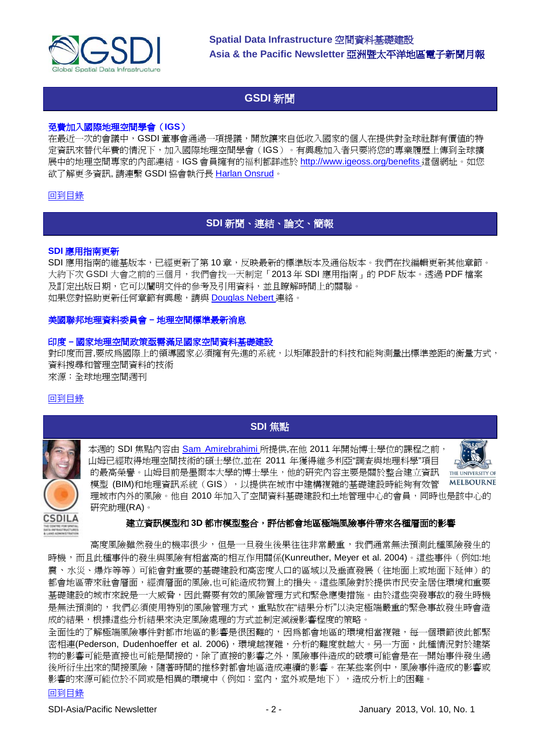

## **GSDI** 新聞

#### <span id="page-1-0"></span>免費加入國際地理空間學會(**IGS**)

在最近一次的會議中,GSDI 董事會通過一項提議,開放讓來自低收入國家的個人在提供對全球社群有價值的特 定資訊來替代年費的情況下,加入國際地理空間學會(IGS)。有興趣加入者只要將您的專業履歷上傳到全球擴 展中的地理空間專家的內部連結。IGS 會員擁有的福利都詳述於 [http://www.igeoss.org/benefits](https://owa.unimelb.edu.au/owa/redir.aspx?C=54c2b4d3973d480282dc7c38384f4204&URL=http%3a%2f%2fwww.igeoss.org%2fbenefits) 這個網址。如您 欲了解更多資訊, 請連繫 GSDI 協會執行長 [Harlan Onsrud](mailto:onsrud@gsdi.org)。

#### <span id="page-1-1"></span>[回到目錄](#page-0-0)

## **SDI** 新聞、連結、論文、簡報

#### **SDI** 應用指南更新

SDI 應用指南的維基版本,已經更新了第 10 章,反映最新的標準版本及通俗版本。我們在找編輯更新其他章節。 大約下次 GSDI 大會之前的三個月,我們會找一天制定「2013 年 SDI 應用指南」的 PDF 版本。透過 PDF 檔案 及訂定出版日期,它可以闡明文件的參考及引用資料,並且瞭解時間上的關聯。 如果您對協助更新任何章節有興趣,請與 [Douglas Nebert](mailto:ddnebert@usgs.gov) 連絡。

#### 美國聯邦地理資料委員會 **–** 地理空間標準最新消息

#### 印度 **–** 國家地理空間政策亟需滿足國家空間資料基礎建設

對印度而言,要成為國際上的領導國家必須擁有先進的系統,以矩陣設計的科技和能夠測量出標準差距的衡量方式, 資料搜尋和管理空間資料的技術 來源:全球地理空間週刊

#### <span id="page-1-2"></span>[回到目錄](#page-0-0)

## **SDI** 焦點

本週的 SDI 焦點內容由 [Sam Amirebrahimi](mailto:amis@unimelb.edu.au) 所提供,在他 2011 年開始博士學位的課程之前, 山姆已經取得地理空間技術的碩士學位,並在 2011 年獲得維多利亞"調查與地理科學"項目 的最高榮譽。山姆目前是墨爾本大學的博士學生,他的研究內容主要是關於整合建立資訊 模型 (BIM)和地理資訊系統(GIS), 以提供在城市中建構複雜的基礎建設時能夠有效管 理城市內外的風險。他自 2010 年加入了空間資料基礎建設和土地管理中心的會員,同時也是該中心的 研究助理(RA)。





#### 建立資訊模型和 3D 都市模型整合,評估都會地區極端風險事件帶來各種層面的影響

高度風險雖然發生的機率很少,但是一旦發生後果往往非常嚴重,我們通常無法預測此種風險發生的 時機,而且此種事件的發生與風險有相當高的相互作用關係(Kunreuther, Meyer et al. 2004)。這些事件(例如:地 震、水災、爆炸等等)可能會對重要的基礎建設和高密度人口的區域以及垂直發展(往地面上或地面下延伸)的 都會地區帶來社會層面,經濟層面的風險,也可能造成物質上的損失。這些風險對於提供市民安全居住環境和重要 基礎建設的城市來說是一大威脅,因此需要有效的風險管理方式和緊急應變措施。由於這些突發事故的發生時機 是無法預測的,我們必須使用特別的風險管理方式,重點放在"結果分析"以決定極端嚴重的緊急事故發生時會造 成的結果,根據這些分析結果來決定風險處理的方式並制定減緩影響程度的策略。

全面性的了解極端風險事件對都市地區的影響是很困難的,因為都會地區的環境相當複雜,每一個環節彼此都緊 密相連(Pederson, Dudenhoeffer et al. 2006),環境越複雜,分析的難度就越大。另一方面,此種情況對於建築 物的影響可能是直接也可能是間接的,除了直接的影響之外,風險事件造成的破壞可能會是在一開始事件發生過 後所衍生出來的間接風險,隨著時間的推移對都會地區造成連續的影響。在某些案例中,風險事件造成的影響或 影響的來源可能位於不同或是相異的環境中(例如:室內,室外或是地下),造成分析上的困難。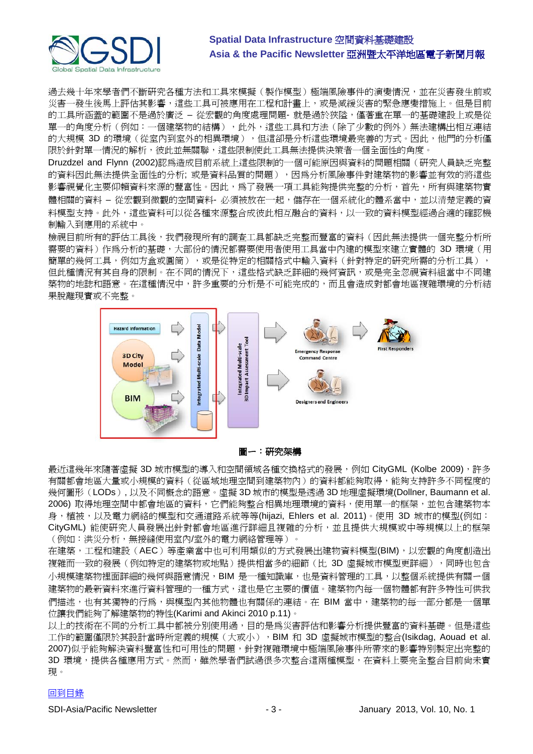

過去幾十年來學者們不斷研究各種方法和工具來模擬(製作模型)極端風險事件的演變情況,並在災害發生前或 災害一發生後馬上評估其影響,這些工具可被應用在工程和計畫上,或是減緩災害的緊急應變措施上。但是目前 的工具所涵蓋的範圍不是過於廣泛 – 從宏觀的角度處理問題- 就是過於狹隘,僅著重在單一的基礎建設上或是從 單一的角度分析(例如:一個建築物的結構),此外,這些工具和方法(除了少數的例外)無法建構出相互連結 的大規模 3D 的環境(從室內到室外的相異環境),但這卻是分析這些環境最完善的方式。因此,他門的分析僅 限於針對單一情況的解析,彼此並無關聯,這些限制使此工具無法提供決策者一個全面性的角度。

Druzdzel and Flynn (2002)認為造成目前系統上這些限制的一個可能原因與資料的問題相關(研究人員缺乏完整 的資料因此無法提供全面性的分析; 或是資料品質的問題),因為分析風險事件對建築物的影響並有效的將這些 影響視覺化主要仰賴資料來源的豐富性。因此,為了發展一項工具能夠提供完整的分析,首先,所有與建築物實 體相關的資料 – 從宏觀到微觀的空間資料- 必須被放在一起,儲存在一個系統化的體系當中,並以清楚定義的資 料模型支持。此外,這些資料可以從各種來源整合成彼此相互融合的資料,以一致的資料模型經過合適的確認機 制輸入到應用的系統中。

檢視目前所有的評估工具後,我們發現所有的調查工具都缺乏完整而豐富的資料(因此無法提供一個完整分析所 需要的資料)作為分析的基礎,大部份的情況都需要使用者使用工具當中內建的模型來建立實體的 3D 環境(用 簡單的幾何工具,例如方盒或圓筒),或是從特定的相關格式中輸入資料(針對特定的研究所需的分析工具), 但此種情況有其自身的限制。在不同的情況下,這些格式缺乏詳細的幾何資訊,或是完全忽視資料組當中不同建 築物的地誌和語意。在這種情況中,許多重要的分析是不可能完成的,而且會造成對都會地區複雜環境的分析結 果脫離現實或不完整。



圖ㄧ:研究架構

最近這幾年來隨著虛擬 3D 城市模型的導入和空間領域各種交換格式的發展,例如 CityGML (Kolbe 2009),許多 有關都會地區大量或小規模的資料(從區域地理空間到建築物內)的資料都能夠取得,能夠支持許多不同程度的 幾何圖形(LODs), 以及不同概念的語意。虛擬 3D 城市的模型是透過 3D 地理虛擬環境(Dollner, Baumann et al. 2006) 取得地理空間中都會地區的資料,它們能夠整合相異地理環境的資料,使用單一的框架,並包含建築物本 身,植被,以及電力網絡的模型和交通道路系統等等(hijazi, Ehlers et al. 2011)。使用 3D 城市的模型(例如: CityGML) 能使研究人員發展出針對都會地區進行詳細且複雜的分析,並且提供大規模或中等規模以上的框架 (例如:洪災分析,無接縫使用室內/室外的電力網絡管理等)。

在建築,工程和建設(AEC)等產業當中也可利用類似的方式發展出建物資料模型(BIM),以宏觀的角度創造出 複雜而一致的發展(例如特定的建築物或地點)提供相當多的細節(比 3D 虛擬城市模型更詳細),同時也包含 小規模建築物裡面詳細的幾何與語意情況,BIM 是一種知識庫,也是資料管理的工具,以整個系統提供有關ㄧ個 建築物的最新資料來進行資料管理的一種方式,這也是它主要的價值。建築物內每一個物體都有許多特性可供我 們描述,也有其獨特的行為,與模型內其他物體也有關係的連結。在 BIM 當中,建築物的每一部分都是一個單 位讓我們能夠了解建築物的特性(Karimi and Akinci 2010 p.11)。

以上的技術在不同的分析工具中都被分別使用過,目的是為災害評估和影響分析提供豐富的資料基礎。但是這些 工作的範圍僅限於其設計當時所定義的規模(大或小),BIM 和 3D 虛擬城市模型的整合(Isikdag, Aouad et al. 2007)似乎能夠解決資料豐富性和可用性的問題,針對複雜環境中極端風險事件所帶來的影響特別製定出完整的 3D 環境,提供各種應用方式。然而,雖然學者們試過很多次整合這兩種模型,在資料上要完全整合目前尙未實 現。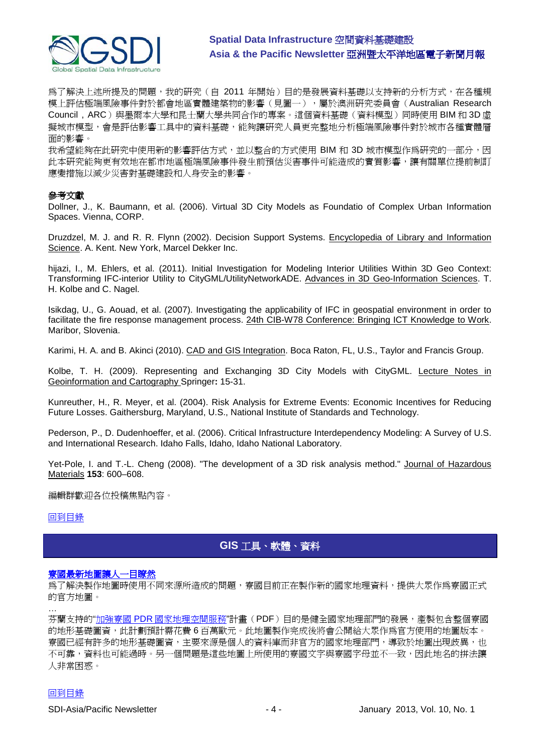

為了解決上述所提及的問題,我的研究 ( 自 2011 年開始 ) 目的是發展資料基礎以支持新的分析方式,在各種規 模上評估極端風險事件對於都會地區實體建築物的影響(見圖一),屬於澳洲研究委員會(Australian Research Council, ARC)與墨爾本大學和昆士蘭大學共同合作的專案。這個資料基礎(資料模型)同時使用 BIM 和 3D 虛 擬城市模型,會是評估影響工具中的資料基礎,能夠讓研究人員更完整地分析極端風險事件對於城市各種實體層 面的影響。

我希望能夠在此研究中使用新的影響評估方式,並以整合的方式使用 BIM 和 3D 城市模型作為研究的一部分,因 此本研究能夠更有效地在都市地區極端風險事件發生前預估災害事件可能造成的實質影響,讓有關單位提前制訂 應變措施以減少災害對基礎建設和人身安全的影響。

#### 參考文獻

Dollner, J., K. Baumann, et al. (2006). Virtual 3D City Models as Foundatio of Complex Urban Information Spaces. Vienna, CORP.

Druzdzel, M. J. and R. R. Flynn (2002). Decision Support Systems. Encyclopedia of Library and Information Science. A. Kent. New York, Marcel Dekker Inc.

hijazi, I., M. Ehlers, et al. (2011). Initial Investigation for Modeling Interior Utilities Within 3D Geo Context: Transforming IFC-interior Utility to CityGML/UtilityNetworkADE. Advances in 3D Geo-Information Sciences. T. H. Kolbe and C. Nagel.

Isikdag, U., G. Aouad, et al. (2007). Investigating the applicability of IFC in geospatial environment in order to facilitate the fire response management process. 24th CIB-W78 Conference: Bringing ICT Knowledge to Work. Maribor, Slovenia.

Karimi, H. A. and B. Akinci (2010). CAD and GIS Integration. Boca Raton, FL, U.S., Taylor and Francis Group.

Kolbe, T. H. (2009). Representing and Exchanging 3D City Models with CityGML. Lecture Notes in Geoinformation and Cartography Springer**:** 15-31.

Kunreuther, H., R. Meyer, et al. (2004). Risk Analysis for Extreme Events: Economic Incentives for Reducing Future Losses. Gaithersburg, Maryland, U.S., National Institute of Standards and Technology.

Pederson, P., D. Dudenhoeffer, et al. (2006). Critical Infrastructure Interdependency Modeling: A Survey of U.S. and International Research. Idaho Falls, Idaho, Idaho National Laboratory.

Yet-Pole, I. and T.-L. Cheng (2008). "The development of a 3D risk analysis method." Journal of Hazardous Materials **153**: 600–608.

編輯群歡迎各位投稿焦點內容。

#### <span id="page-3-0"></span>[回到目錄](#page-0-0)

## **GIS** 工具、軟體、資料

#### [寮國最新地圖讓人一目瞭然](http://laovoices.com/new-map-of-laos-to-resolve-confusion/)

為了解決製作地圖時使用不同來源所造成的問題,寮國目前正在製作新的國家地理資料,提供大眾作為寮國正式 的官方地圖。

… 芬蘭支持的"加強寮國 PDR [國家地理空間服務](http://www.finnmap.com/ATA%20Programme.pdf)"計畫(PDF)目的是健全國家地理部門的發展,產製包含整個寮國 的地形基礎圖資,此計劃預計需花費 6 百萬歐元。此地圖製作完成後將會公開給大眾作為官方使用的地圖版本。 寮國已經有許多的地形基礎圖資,主要來源是個人的資料庫而非官方的國家地理部門,導致於地圖出現歧異,也 不可靠,資料也可能過時。另一個問題是這些地圖上所使用的寮國文字與寮國字母並不一致,因此地名的拼法讓 人非常困惑。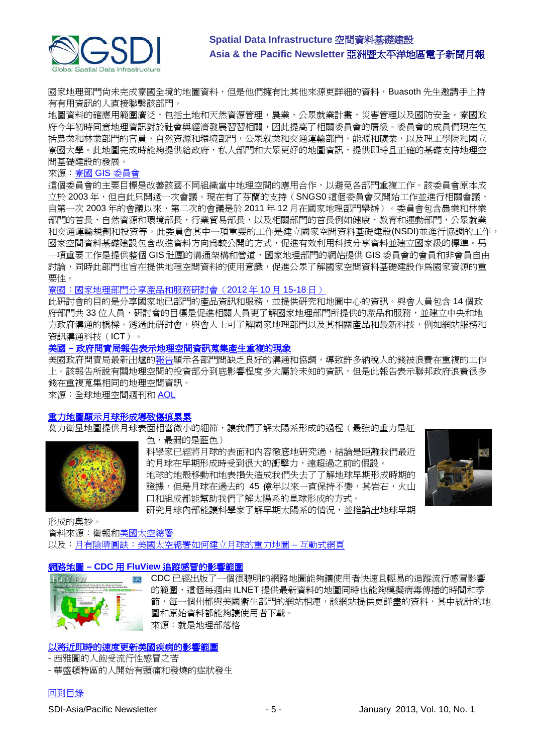

國家地理部門尚未完成寮國全境的地圖資料,但是他們擁有比其他來源更詳細的資料,Buasoth 先生邀請手上持 有有用資訊的人直接聯繫該部門。

地圖資料的確應用範圍廣泛,包括土地和天然資源管理,農業,公眾就業計畫,災害管理以及國防安全。寮國政 府今年初時同意地理資訊對於社會與經濟發展習習相關,因此提高了相關委員會的層級。委員會的成員們現在包 括農業和林業部門的官員,自然資源和環境部門,公眾就業和交通運輸部門,能源和礦業,以及理工學院和國立 寮國大學。此地圖完成時能夠提供給政府,私人部門和大眾更好的地圖資訊,提供即時且正確的基礎支持地理空 間基礎建設的發展。

#### 來源:寮國 GIS [委員會](http://www.ngdlaos.la/2012/02/15/gis-committee-2/)

這個委員會的主要目標是改善該國不同組織當中地理空間的應用合作,以避免各部門重複工作。該委員會原本成 立於 2003年,但自此只開過一次會議。現在有了芬蘭的支持(SNGS0這個委員會又開始工作並進行相關會議, 自第一次 2003 年的會議以來,第二次的會議是於 2011 年 12 月在國家地理部門舉辦)。委員會包含農業和林業 部門的首長,自然資源和環境部長,行業貿易部長,以及相關部門的首長例如健康,教育和運動部門,公眾就業 和交通運輸規劃和投資等。此委員會其中一項重要的工作是建立國家空間資料基礎建設(NSDI)並進行協調的工作, 國家空間資料基礎建設包含改進資料方向為較公開的方式,促進有效利用科技分享資料並建立國家級的標準。另 一項重要工作是提供整個 GIS 社團的溝通架構和管道,國家地理部門的網站提供 GIS 委員會的會員和非會員自由 討論,同時此部門也旨在提供地理空間資料的使用意識,促進公眾了解國家空間資料基礎建設作為國家資源的重 要性。

#### [寮國:國家地理部門分享產品和服務研討會\(](http://www.ngdlaos.la/2012/10/17/%E0%BA%9D%E0%BA%B6%E0%BA%81%E0%BA%AD%E0%BA%BB%E0%BA%9A%E0%BA%AE%E0%BA%BB%E0%BA%A1%E0%BA%AA%E0%BA%B3%E0%BA%A1%E0%BA%B0%E0%BA%99%E0%BA%B2%E0%BB%80%E0%BA%9C%E0%BA%B5%E0%BA%8D%E0%BB%81%E0%BA%9C%E0%BB%88/)2012 年 10 月 15-18 日)

此研討會的目的是分享國家地已部門的產品資訊和服務,並提供研究和地圖中心的資訊。與會人員包含 14 個政 府部門共 33 位人員,研討會的目標是促進相關人員更了解國家地理部門所提供的產品和服務,並建立中央和地 方政府溝通的橋樑。透過此研討會,與會人士可了解國家地理部門以及其相關產品和最新科技,例如網站服務和 資訊溝通科技(ICT)。

#### 美國 **–** [政府問責局報告表示地理空間資訊蒐集產生重複的現象](http://www.geospatialworld.net/News/View.aspx?id=25933_Article)

美國政府問責局最新出爐的<u>報告</u>顯示各部門間缺乏良好的溝通和協調,導致許多納稅人的錢被浪費在重複的工作 上。該報告所說有關地理空間的投資部分到底影響程度多大屬於未知的資訊,但是此報告表示聯邦政府浪費很多 錢在重複蒐集相同的地理空間資訊。

來源:全球地理空間週刊和 [AOL](http://gov.aol.com/2012/11/27/report-faults-governments-duplication-in-spending-for-geospatia/)

#### [重力地圖顯示月球形成導致傷痕累](http://www.guardian.co.uk/science/2012/dec/06/gravity-map-moon-formative-years)累

葛力衛星地圖提供月球表面相當微小的細節,讓我們了解太陽系形成的過程(最強的重力是紅





科學家已經將月球的表面和內容徹底地研究過,結論是距離我們最近 的月球在早期形成時受到很大的衝擊力,遠超過之前的假設。 地球的地殼移動和地表損失造成我們失去了了解地球早期形成時期的 證據,但是月球在過去的 45 億年以來一直保持不變,其岩石,火山 口和組成都能幫助我們了解太陽系的星球形成的方式。



研究月球內部能讓科學家了解早期太陽系的情況,並推論出地球早期

形成的奧妙。 資料來源:衛報[和美國太空總署](http://www.guardian.co.uk/science/video/2012/dec/06/nasa-grail-satellites-gravity-map-moon-video)

以及[:月有陰晴圓缺:美國太空總署如何建立月球的重力地圖](http://www.guardian.co.uk/science/interactive/2012/dec/06/nasa-gravity-map-moon-interactive) – 互動式網頁

#### 網路地圖 **– CDC** 用 **FluView** [追蹤感冒的影響範圍](http://blog.gisuser.com/2012/12/07/webmaps-cdc-tracking-the-spread-of-influenza-with-fluview/)



CDC 已經出版了一個很聰明的網路地圖能夠讓使用者快速且輕易的追蹤流行感冒影響 的範圍,這個每週由 ILNET 提供最新資料的地圖同時也能夠模擬病毒傳播的時間和季 節,每一個州都與美國衛生部門的網站相連,該網站提供更詳盡的資料,其中統計的地 圖和原始資料都能夠讓使用者下載。 來源:就是地理部落格

#### [以將近即時的速度更新美國疾病的影響範圍](http://www.theatlanticcities.com/technology/2012/02/mapping-americas-sickness-near-real-time/1201/)

- 西雅圖的人飽受流行性感冒之苦

- 華盛頓特區的人開始有頭痛和發燒的症狀發生

## [回到目錄](#page-0-0)

SDI-Asia/Pacific Newsletter - 5 - January 2013, Vol. 10, No. 1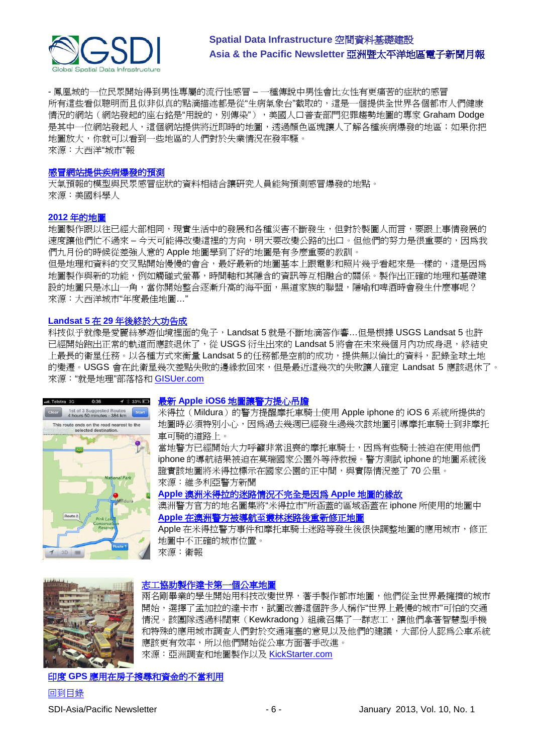

- 鳳凰城的一位民眾開始得到男性專屬的流行性感冒 – 一種傳說中男性會比女性有更痛苦的症狀的感冒 所有這些看似聰明而且似非似真的點滴描述都是從"生病氣象台"截取的,這是一個提供全世界各個都市人們健康 情況的網站(網站發起的座右銘是"用說的,別傳染"),美國人口普查部門犯罪趨勢地圖的專家 Graham Dodge 是其中一位網站發起人,這個網站提供將近即時的地圖,透過顏色區塊讓人了解各種疾病爆發的地區;如果你把 地圖放大,你就可以看到一些地區的人們對於失業情況在發牢騷。 來源:大西洋"城市"報

#### [感冒網站提供疾病爆發的預測](http://www.scientificamerican.com/podcast/episode.cfm?id=flu-web-searches-predict-disease-ou-12-12-11&WT.mc_id=SA_WR_20121212)

天氣預報的模型與民眾感冒症狀的資料相結合讓研究人員能夠預測感冒爆發的地點。 來源:美國科學人

#### **2012** [年的地圖](http://www.theatlanticcities.com/design/2012/12/2012s-year-maps/4196/)

地圖製作跟以往已經大部相同,現實生活中的發展和各種災害不斷發生,但對於製圖人而言,要跟上事情發展的 速度讓他們忙不過來 – 今天可能得改變這裡的方向,明天要改變公路的出口。但他們的努力是很重要的,因為我 們九月份的時候從差強人意的 Apple 地圖學到了好的地圖是有多麼重要的教訓。

但是地理和資料的交叉點開始慢慢的會合,最好最新的地圖基本上跟電影和照片幾乎看起來是一樣的,這是因為 地圖製作與新的功能,例如觸碰式螢幕,時間軸和其隱含的資訊等互相融合的關係。製作出正確的地理和基礎建 設的地圖只是冰山一角,當你開始整合逐漸升高的海平面,黑道家族的聯盟,隱喻和啤酒時會發生什麼事呢? 來源:大西洋城市"年度最佳地圖…"

#### **Landsat 5** 在 **29** [年後終於大功告成](http://blog.gisuser.com/2012/12/27/usgs-comments-mission-accomplished-for-landsat-5-after-29-years/)

科技似乎就像是愛麗絲夢遊仙境裡面的兔子,Landsat 5 就是不斷地滴答作響…但是根據 USGS Landsat 5 也許 已經開始跑出正常的軌道而應該退休了,從 USGS 衍生出來的 Landsat 5 將會在未來幾個月內功成身退,終結史 上最長的衛星任務。以各種方式來衡量 Landsat 5 的任務都是空前的成功,提供無以倫比的資料,記錄全球土地 的變遷。USGS 會在此衛星幾次差點失敗的邊緣救回來,但是最近這幾次的失敗讓人確定 Landsat 5 應該退休了。 來源:"就是地理"部落格和 [GISUer.com](http://www.gisuser.com/content/view/28642/2/)



#### 最新 **Apple iOS6** [地圖讓警方提心吊膽](http://www.vicpolicenews.com.au/more-news/11081-police-concerned-with-apple-ios-6-mapping-system.html)

米得拉(Mildura)的警方提醒摩托車騎士使用 Apple iphone 的 iOS 6 系統所提供的 地圖時必須特別小心,因為過去幾週已經發生過幾次該地圖引導摩托車騎士到非摩托 車可騎的道路上。

當地警方已經開始大力呼籲非常沮喪的摩托車騎士,因為有些騎士被迫在使用他們 iphone 的導航結果被迫在莫瑞國家公園外等待救援。警方測試 iphone 的地圖系統後 證實該地圖將米得拉標示在國家公園的正中間,與實際情況差了70公里。 來源:維多利亞警方新聞

#### **Apple** [澳洲米得拉的迷路情況不完全是因為](http://www.guardian.co.uk/technology/2012/dec/11/apple-maps-fault-mildura-australia-confusion?INTCMP=SRCH) **Apple** 地圖的緣故

澳洲警方官方的地名圖集將"米得拉市"所涵蓋的區域涵蓋在 iphone 所使用的地圖中 **Apple** [在澳洲警方被導航至叢林迷路後重新修正地圖](http://www.guardian.co.uk/technology/2012/dec/10/apple-maps-life-threatening-australian-police?intcmp=239)

Apple 在米得拉警方事件和摩托車騎士迷路等發生後很快調整地圖的應用城市, 修正 地圖中不正確的城市位置。

來源:衛報



#### [志工協助製作達卡第一個公車地圖](http://www.asmmag.com/201212204598/volunteers-produce-the-first-bus-map-of-dhaka.html)

兩名剛畢業的學生開始用科技改變世界,著手製作都市地圖,他們從全世界最擁擠的城市 開始,選擇了孟加拉的達卡市,試圖改善這個許多人稱作"世界上最慢的城市"可怕的交通 情況。該團隊透過科闊東(Kewkradong)組織召集了一群志工,讓他們拿著智慧型手機 和特殊的應用城市調查人們對於交通雍塞的意見以及他們的建議,大部份人認爲公車系統 應該更有效率,所以他們開始從公車方面著手改進。 來源:亞洲調查和地圖製作以及 [KickStarter.com](http://www.kickstarter.com/projects/urbanlaunchpad/first-bus-map-of-dhaka?ref=NewsDec2012&utm_campaign=Dec20&utm_medium=email&utm_source=newsletter)

#### 印度 **GPS** [應用在房子搜尋和資金的不當利用](http://www.deccanherald.com/content/288977/gpsmonitor-housing-schemes-misuse.html)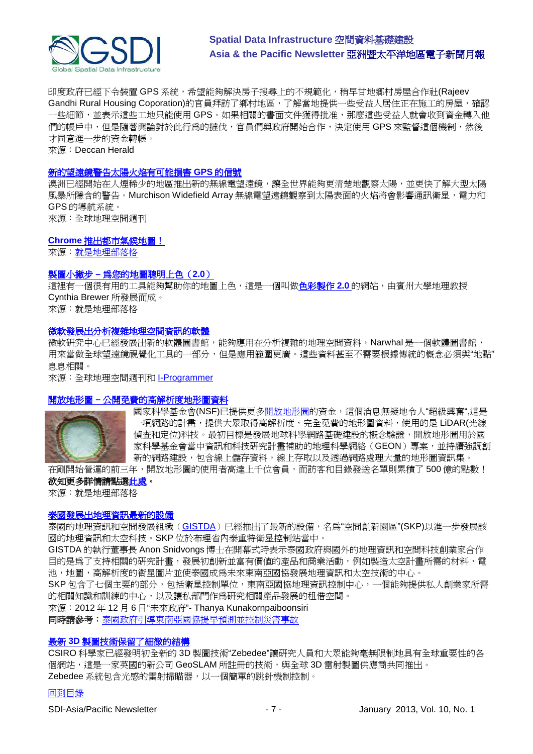

印度政府已經下令裝置 GPS 系統,希望能夠解決房子搜尋上的不規範化,稍早甘地鄉村房屋合作社(Rajeev Gandhi Rural Housing Coporation)的官員拜訪了鄉村地區,了解當地提供一些受益人居住正在施工的房屋,確認 一些細節,並表示這些工地只能使用 GPS。如果相關的書面文件獲得批准,那麼這些受益人就會收到資金轉入他 們的帳戶中,但是隨著輿論對於此行為的撻伐,官員們與政府開始合作,決定使用 GPS 來監督這個機制,然後 才同意進一步的資金轉帳。

來源:Deccan Herald

#### [新的望遠鏡警告太陽火焰有可能損害](http://www.geospatialworld.net/News/View.aspx?id=26054_Article) **GPS** 的信號

澳洲已經開始在人煙稀少的地區推出新的無線電望遠鏡,讓全世界能夠更清楚地觀察太陽,並更快了解大型太陽 風暴所隱含的警告。Murchison Widefield Array 無線電望遠鏡觀察到太陽表面的火焰將會影響通訊衛星, 電力和 GPS 的導航系統。 來源:全球地理空間週刊

**Chrome** [推出都市氣候地圖!](http://uberweather.com/)

來源[:就是地理部落格](http://blog.gisuser.com/2012/12/09/uber-weather-for-chrome-weather-on-steroids/)

#### 製圖小撇步 **–** [為您的地圖聰明上色\(](http://blog.gisuser.com/2012/11/26/cartography-tip-color-brewer-2-0-expert-color-advice-for-your-maps/)**2.0**)

這裡有一個很有用的工具能夠幫助你的地圖上色,這是一個叫做**色彩製作 2.0** 的網站,由賓州大學地理教授 Cynthia Brewer 所發展而成。 來源:就是地理部落格

#### [微軟發展出分析複雜地理空間資訊的軟體](http://www.geospatialworld.net/News/View.aspx?id=26033_Article)

微軟研究中心已經發展出新的軟體圖書館,能夠應用在分析複雜的地理空間資料,Narwhal 是一個軟體圖書館, 用來當做全球望遠鏡視覺化工具的一部分,但是應用範圍更廣。這些資料甚至不需要根據傳統的概念必須與"地點" 息息相關。

來源:全球地理空間週刊和 [I-Programmer](http://www.i-programmer.info/news/145-mapping-a-gis/5204-narwhal-a-far-reaching-geospatial-data-library.html)

#### 開放地形圖 **–** [公開免費的高解析度地形圖資料](http://blog.gisuser.com/2012/12/05/opentopography-open-and-free-access-to-high-res-topographic-data/)



國家科學基金會(NSF)已提供更[多開放地形圖的](http://www.opentopography.org/index.php)資金,這個消息無疑地令人"超級興奮",這是 -項網路的計畫,提供大眾取得高解析度,完全免費的地形圖資料,使用的是 LiDAR(光線 偵查和定位)科技。最初目標是發展地球科學網路基礎建設的概念驗證,開放地形圖用於國 家科學基金會當中資訊和科技研究計畫補助的地理科學網絡(GEON)專案,並持續強調創 新的網路建設,包含線上儲存資料,線上存取以及透過網路處理大量的地形圖資訊集。

在剛開始營運的前三年,開放地形圖的使用者高達上千位會員,而訪客和目錄發送名單則累積了 500 億的點數!

#### 欲知更多詳情請點[選此處。](http://www.amerisurv.com/content/view/10795/)

來源:就是地理部落格

#### [泰國發展出地理資訊最新的設備](http://www.futuregov.asia/articles/2012/dec/06/thailand-launches-new-facility-geoinformatics-deve/)

泰國的地理資訊和空間發展組織([GISTDA](http://www.gistda.or.th/))已經推出了最新的設備,名為"空間創新園區"(SKP)以進一步發展該 國的地理資訊和太空科技。SKP 位於布理省內泰重特衛星控制站當中。

GISTDA 的執行董事長 Anon Snidvongs 博士在開幕式時表示泰國政府與國外的地理資訊和空間科技創業家合作 目的是為了支持相關的研究計畫,發展初創新並富有價值的產品和商業活動,例如製造太空計畫所需的材料,電 池,地圖,高解析度的衛星圖片並使泰國成為未來東南亞國協發展地理資訊和太空技術的中心。

SKP 包含了七個主要的部分,包括衛星控制單位,東南亞國協地理資訊控制中心,一個能夠提供私人創業家所需 的相關知識和訓練的中心,以及讓私部門作為研究相關產品發展的租借空間。

來源:2012 年 12 月 6 日"未來政府"- Thanya Kunakornpaiboonsiri

同時請參考[:泰國政府引導東南亞國協提早預測並控制災害事故](http://www.nationmultimedia.com/national/Thai-agency-to-lead-Asean-in-disaster-warning-and--30183212.html)

#### 最新 **3D** [製圖技術保留了細微的結構](http://www.geospatialworld.net/News/View.aspx?id=26078_Article)

CSIRO 科學家已經發明初全新的 3D 製圖技術"Zebedee"讓研究人員和大眾能夠毫無限制地具有全球重要性的各 個網站,這是一家英國的新公司 GeoSLAM 所註冊的技術,與全球 3D 雷射製圖供應商共同推出。 Zebedee 系統包含光感的雷射掃瞄器,以一個簡單的跳針機制控制。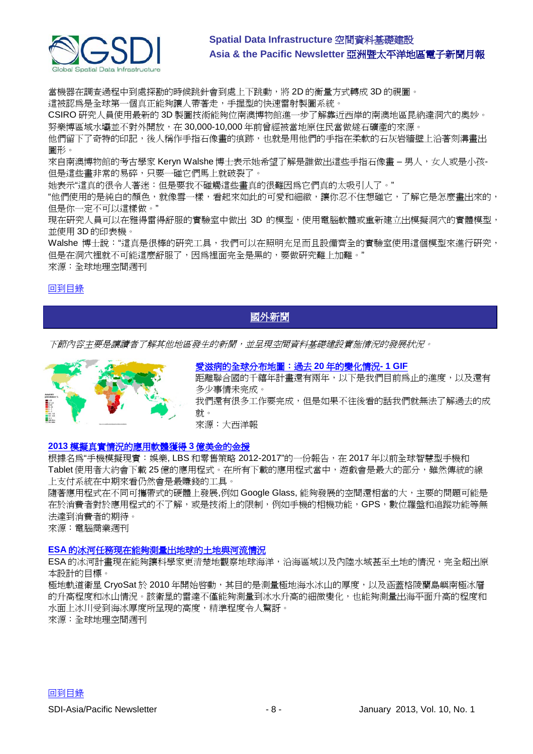

當機器在調查過程中到處探勘的時候跳針會到處上下跳動,將 2D 的衡量方式轉成 3D 的視圖。

這被認為是全球第一個真正能夠讓人帶著走,手握型的快速雷射製圖系統。

CSIRO 研究人員使用最新的 3D 製圖技術能夠位南澳博物館進一步了解靠近西岸的南澳地區昆納達洞穴的奧妙。 努樂博區域水壩並不對外開放,在 30,000-10,000 年前曾經被當地原住民當做燧石礦產的來源。

他們留下了奇特的印記,後人稱作手指石像書的痕跡,也就是用他們的手指在柔軟的石灰岩牆壁上沿著刻溝書出 圖形。

來自南澳博物館的考古學家 Keryn Walshe 博士表示她希望了解是誰做出這些手指石像畫 – 男人, 女人或是小孩-但是這些畫非常的易碎,只要一碰它們馬上就破裂了。

她表示"這真的很令人著迷:但是要我不碰觸這些畫真的很難因為它們真的太吸引人了。"

"他們使用的是純白的顏色,就像雪一樣,看起來如此的可愛和細緻,讓你忍不住想碰它,了解它是怎麼畫出來的, 但是你一定不可以這樣做。"

現在研究人員可以在雅得雷得舒服的實驗室中做出 3D 的模型,使用電腦軟體或重新建立出模擬洞穴的實體模型, 並使用 3D 的印表機。

Walshe 博士說:"這真是很棒的研究工具,我們可以在照明充足而且設備齊全的實驗室使用這個模型來進行研究, 但是在洞穴裡就不可能這麼舒服了,因為裡面完全是黑的,要做研究難上加難。" 來源:全球地理空間週刊

#### [回到目錄](#page-0-0)

## <span id="page-7-0"></span>國外新聞

下節內容主要是讓讀者了解其他地區發生的新聞,並呈現空間資料基礎建設實施情況的發展狀況。



[愛滋病的全球分布地圖:過去](http://www.theatlantic.com/international/archive/2012/11/the-global-geography-of-hiv-20-years-of-change-in-1-gif/265706/) **20** 年的變化情況**- 1 GIF**

距離聯合國的千禧年計書還有兩年,以下是我們目前為止的進度,以及還有 多少事情未完成。 我們還有很多工作要完成,但是如果不往後看的話我們就無法了解過去的成

就。

來源:大西洋報

#### **2013** [模擬真實情況的應用軟體獲得](http://mobility.cbronline.com/news/augmented-reality-mobile-apps-to-generate-300m-revenue-in-2013-report-071112) **3** 億美金的金援

根據名為"手機模擬現實:娛樂, LBS 和零售策略 2012-2017"的一份報告, 在 2017 年以前全球智慧型手機和 Tablet 使用者大約會下載 25 億的應用程式。在所有下載的應用程式當中,遊戲會是最大的部分,雖然傳統的線 上支付系統在中期來看仍然會是最賺錢的工具。

隨著應用程式在不同可攜帶式的硬體上發展,例如 Google Glass, 能夠發展的空間還相當的大,主要的問題可能是 在於消費者對於應用程式的不了解,或是技術上的限制,例如手機的相機功能,GPS,數位羅盤和追蹤功能等無 法達到消費者的期待。

來源:電腦商業週刊

#### **ESA** [的冰河任務現在能夠測量出地球的土地與河流情況](http://www.geospatialworld.net/News/View.aspx?id=26069_Article)

ESA 的冰河計畫現在能夠讓科學家更清楚地觀察地球海洋,沿海區域以及內陸水域甚至土地的情況,完全超出原 本設計的目標。

極地軌道衛星 CryoSat於 2010年開始啓動,其目的是測量極地海水冰山的厚度,以及涵蓋格陵蘭島嶼南極冰層 的升高程度和冰山情況。該衛星的雷達不僅能夠測量到冰水升高的細微變化,也能夠測量出海平面升高的程度和 水面上冰川受到海冰厚度所呈現的高度,精準程度令人驚訝。 來源:全球地理空間週刊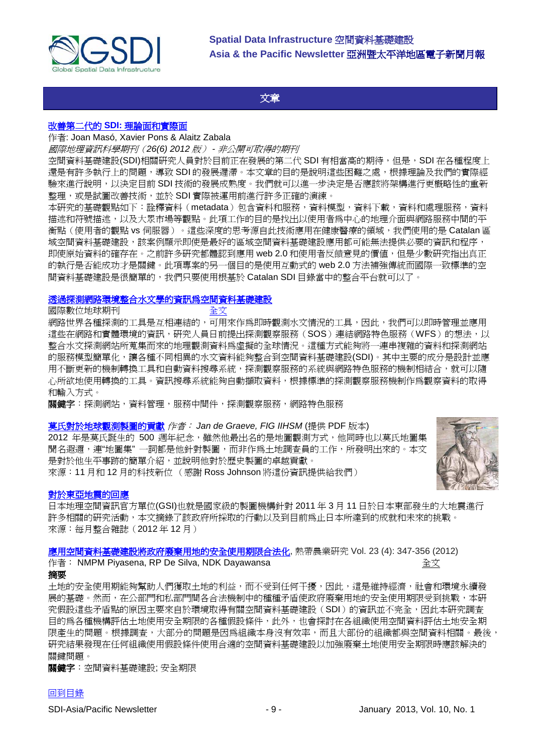

#### 文章

#### <span id="page-8-0"></span>改善第二代的 **SDI:** [理論面和實際面](http://www.tandfonline.com/doi/abs/10.1080/13658816.2011.620570)

#### 作者: Joan Masó, Xavier Pons & Alaitz Zabala

國際地理資訊科學期刊(*26(6) 2012* 版) *-* 非公開可取得的期刊

空間資料基礎建設(SDI)相關研究人員對於目前正在發展的第二代 SDI 有相當高的期待,但是, SDI 在各種程度上 還是有許多執行上的問題,導致 SDI 的發展遲滯。本文章的目的是說明這些困難之處,根據理論及我們的實際經 驗來進行說明,以決定目前 SDI 技術的發展成熟度。我們就可以進一步決定是否應該將架構進行更概略性的重新 整理,或是試圖改善技術,並於 SDI 實際被運用前進行許多正確的演練。

本研究的基礎觀點如下:詮釋資料(metadata)包含資料和服務,資料模型,資料下載,資料和處理服務,資料 描述和符號描述,以及大眾市場等觀點。此項工作的目的是找出以使用者為中心的地理介面與網路服務中間的平 衡點(使用者的觀點 vs 伺服器)。這些深度的思考源自此技術應用在健康醫療的領域,我們使用的是 Catalan 區 域空間資料基礎建設,該案例顯示即使是最好的區域空間資料基礎建設應用都可能無法提供必要的資訊和程序, 即使原始資料的確存在。之前許多研究都體認到應用 web 2.0 和使用者反饋意見的價值,但是少數研究指出直正 的執行是否能成功才是關鍵。此項專案的另一個目的是使用互動式的 web 2.0 方法補強傳統而國際一致標準的空 間資料基礎建設是很簡單的,我們只要使用根基於 Catalan SDI 目錄當中的整合平台就可以了。

#### [透過探測網路環境整合水文學的資訊為空間資料基礎建設](http://www.tandfonline.com/doi/abs/10.1080/17538947.2012.743605)

#### 國際數位地球期刊 [全文](http://www.tandfonline.com/doi/full/10.1080/17538947.2012.743605#tabModule)

網路世界各種探測的工具是互相連結的,可用來作為即時觀測水文情況的工具,因此,我們可以即時管理並應用 這些在網路和實體環境的資訊,研究人員日前提出探測觀察服務(SOS)連結網路特色服務(WFS)的想法,以 整合水文探測網站所蒐集而來的地理觀測資料為虛擬的全球情況。這種方式能夠將一連串複雜的資料和探測網站 的服務模型簡單化,讓各種不同相異的水文資料能夠整合到空間資料基礎建設(SDI)。其中主要的成分是設計並應 用不斷更新的機制轉換工具和自動資料搜尋系統,探測觀察服務的系統與網路特色服務的機制相結合,就可以隨 心所欲地使用轉換的工具。資訊搜尋系統能夠自動擷取資料,根據標準的探測觀察服務機制作爲觀察資料的取得 和輸入方式。

**關鍵字**:探測網站,資料管理,服務中間件,探測觀察服務,網路特色服務

#### [莫氏對於地球觀測製圖的貢獻](http://eepublishers.co.za/article/international-federation-of-surveyors-353.html) 作者: *Jan de Graeve, FIG IIHSM* (提供 PDF 版本)

2012 年是莫氏誕生的 500 週年紀念,雖然他最出名的是地圖觀測方式,他同時也以莫氏地圖集 聞名遐邇,連"地圖集"一詞都是他針對製圖,而非作爲土地調查員的工作,所發明出來的。本文 是對於他生平事跡的簡單介紹,並說明他對於歷史製圖的卓越貢獻。 來源:11 月和 12 月的科技新位 (感謝 Ross Johnson 將這份資訊提供給我們)



#### [對於東亞地震的回應](http://mycoordinates.org/responding-to-the-great-east-japan-earthquake/)

日本地理空間資訊官方單位(GSI)也就是國家級的製圖機構針對 2011 年 3 月 11 日於日本東部發生的大地震進行 許多相關的研究活動,本文摘錄了該政府所採取的行動以及到目前為止日本所達到的成就和未來的挑戰。 來源:每月整合雜誌(2012 年 12 月)

[應用空間資料基礎建設將政府廢棄用地的安全使用期限合法化](http://www.sljol.info/index.php/TAR/article/view/4870), 熱帶農業研究 Vol. 23 (4): 347-356 (2012) 作者: NMPM Piyasena, RP De Silva, NDK Dayawansa  $\hat{f}$  and  $\hat{f}$  and  $\hat{f}$   $\hat{\mathcal{X}}$ 摘要

土地的安全使用期能夠幫助人們獲取土地的利益,而不受到任何干擾,因此,這是維持經濟,社會和環境永續發 展的基礎。然而,在公部門和私部門間各合法機制中的種種矛盾使政府廢棄用地的安全使用期限受到挑戰,本研 究假設這些矛盾點的原因主要來自於環境取得有關空間資料基礎建設(SDI)的資訊並不完全,因此本研究調查 目的為各種機構評估土地使用安全期限的各種假設條件,此外,也會探討在各組織使用空間資料評估土地安全期 限產生的問題。根據調查,大部分的問題是因為組織本身沒有效率,而且大部份的組織都與空間資料相關。最後, 研究結果發現在任何組織使用假設條件使用合適的空間資料基礎建設以加強廢棄土地使用安全期限時應該解決的 關鍵問題。

關鍵字:空間資料基礎建設; 安全期限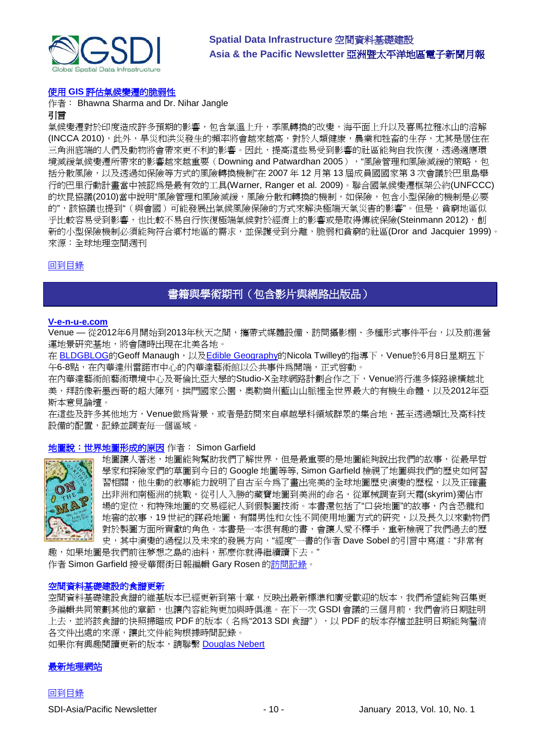

#### 使用 **GIS** [評估氣候變遷的脆弱性](http://www.geospatialworld.net/Paper/Application/ArticleView.aspx?aid=30395)

作者: Bhawna Sharma and Dr. Nihar Jangle 引言

氣候變遷對於印度造成許多預期的影響,包含氣溫上升,季風轉換的改變,海平面上升以及喜馬拉雅冰山的溶解 (INCCA 2010),此外,旱災和洪災發生的頻率將會越來越高,對於人類健康,農業和牲畜的生存,尤其是居住在 三角洲底端的人們及動物將會帶來更不利的影響。因此,提高這些易受到影響的社區能夠自我恢復,透過適應環 境減緩氣候變遷所帶來的影響越來越重要 (Downing and Patwardhan 2005), "風險管理和風險減緩的策略,包 括分散風險,以及透過如保險等方式的風險轉換機制"在 2007 年 12 月第 13 屆成員國國家第 3 次會議於巴里島舉 行的巴里行動計畫當中被認為是最有效的工具(Warner, Ranger et al. 2009)。聯合國氣候變遷框架公約(UNFCCC) 的坎昆協議(2010)當中說明"風險管理和風險減緩,風險分散和轉換的機制,如保險,包含小型保險的機制是必要 的",該協議也提到"(與會國)可能發展出氣候風險保險的方式來解決極端天氣災害的影響"。但是,貧窮地區似 乎比較容易受到影響,也比較不易自行恢復極端氣候對於經濟上的影響或是取得傳統保險(Steinmann 2012),創 新的小型保險機制必須能夠符合鄉村地區的需求,並保護受到分離,脆弱和貧窮的社區(Dror and Jacquier 1999)。 來源:全球地理空間週刊

#### <span id="page-9-0"></span>[回到目錄](#page-0-0)

## 書籍與學術期刊(包含影片與網路出版品)

#### **[V-e-n-u-e.com](http://v-e-n-u-e.com/About)**

Venue — 從2012年6月開始到2013年秋天之間,攜帶式媒體設備、訪問攝影棚、多種形式事件平台,以及前進營 運地景研究基地,將會隨時出現在北美各地。

在 [BLDGBLOG](http://bldgblog.blogspot.com/)的Geoff Manaugh,以及[Edible Geography](http://www.ediblegeography.com/)的Nicola Twilley的指導下, Venue於6月8日星期五下 午6-8點,在內華達州雷諾市中心的內華達藝術館以公共事件爲開端,正式啓動。

在內華達藝術館藝術環境中心及哥倫比亞大學的Studio-X全球網路計劃合作之下,Venue將行進多條路線橫越北 美,拜訪像新墨西哥的超大陣列,拱門國家公園,奧勒崗州藍山山脈裡全世界最大的有機生命體,以及2012年亞 斯本意見論壇。

在這些及許多其他地方,Venue做為背景,或者是訪問來自卓越學科領域群眾的集合地,甚至透過類比及高科技 設備的配置,記錄並調查毎一個區域。

#### [地圖說:世界地圖形成的原因](http://www.amazon.co.uk/Map-Why-world-looks-does/dp/1846685095/ref=sr_1_1?s=books&ie=UTF8&qid=1356302647&sr=1-1) 作者: Simon Garfield



地圖讓人著迷,地圖能夠幫助我們了解世界,但是最重要的是地圖能夠說出我們的故事,從最早哲 學家和探險家們的草圖到今日的 Google 地圖等等, Simon Garfield 檢視了地圖與我們的歷史如何習 習相關,他生動的敘事能力說明了自古至今爲了畫出完美的全球地圖歷史演變的歷程,以及正確畫 出非洲和南極洲的挑戰,從引人入勝的藏寶地圖到美洲的命名,從軍械調查到天霜(skyrim)獨佔市 場的定位,和特殊地圖的交易經紀人到假製圖技術。本書還包括了"口袋地圖"的故事,內含恐龍和 地窖的故事,19 世紀的謀殺地圖,有關男性和女性不同使用地圖方式的研究,以及長久以來動物們 對於製圖方面所貢獻的角色。本書是一本很有趣的書,會讓人愛不釋手,重新檢視了我們過去的歷 史,其中演變的過程以及未來的發展方向,"經度"一書的作者 Dave Sobel 的引言中寫道:"非常有

趣,如果地圖是我們前往夢想之島的油料,那麼你就得繼續讀下去。" 作者 Simon Garfield 接受華爾街日報編輯 Gary Rosen [的訪問記錄。](http://online.wsj.com/article/SB10001424127887324461604578191471150162626.html?mod=WSJASIA_hpp_MIDDLESecondNews#project%3DSLIDESHOW08%26s%3DSB10001424127887323277504578191792854140524%26articleTabs%3Dvideo)

#### 空間資料基礎建設的食譜更新

空間資料基礎建設食譜的維基版本已經更新到第十章,反映出最新標準和廣受歡迎的版本,我們希望能夠召集更 多編輯共同策劃其他的章節,也讓內容能夠更加與時俱進。在下一次 GSDI 會議的三個月前,我們會將日期註明 上去,並將該食譜的快照掃瞄成 PDF 的版本 (名為"2013 SDI 食譜"), 以 PDF 的版本存檔並註明日期能夠釐清 各文件出處的來源,讓此文件能夠根據時間記錄。

如果你有興趣閱讀更新的版本,請聯繫 [Douglas Nebert](mailto:addnebert@usgs.gov)

#### [最新地理網站](http://www.newgeography.com/)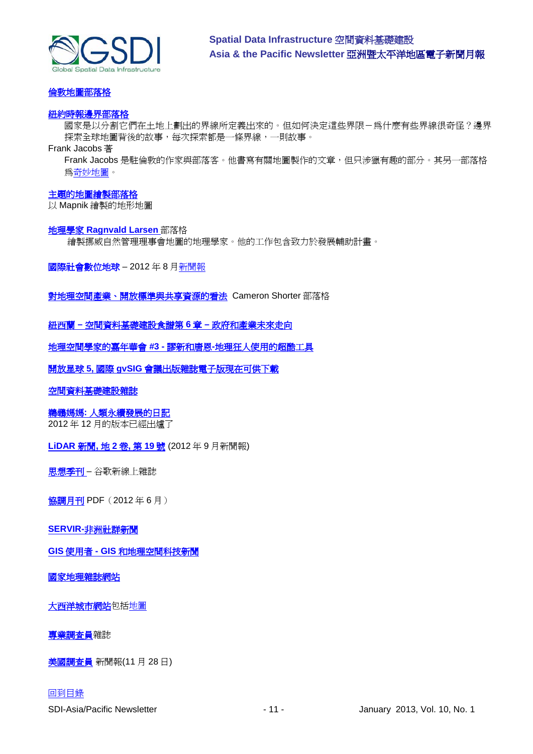

#### [倫敦地圖部落格](http://mappinglondon.co.uk/)

#### [紐約時報邊界部落格](http://opinionator.blogs.nytimes.com/category/borderlines/)

國家是以分割它們在土地上劃出的界線所定義出來的。但如何決定這些界限-爲什麼有些界線很奇怪?邊界 探索全球地圖背後的故事,每次探索都是一條界線,一則故事。

#### Frank Jacobs 著

Frank Jacobs 是駐倫敦的作家與部落客。他書寫有關地圖製作的文章,但只涉獵有趣的部分。其另一部落格 [為奇妙地圖。](http://bigthink.com/blogs/strange-maps)

#### [主題的地圖繪製部落格](http://blog.thematicmapping.org/)

以 Mapnik 繪製的地形地圖

#### 地理學家 **[Ragnvald Larsen](http://www.mindland.com/wp/)** 部落格

繪製挪威自然管理理事會地圖的地理學家。他的工作包含致力於發展輔助計畫。

國際社會數位地球 – 2012 年 8 [月新聞報](http://www.digitalearth-isde.org/news/isde-newsletter(201208).html)

[對地理空間產業、開放標準與共享資源的看法](http://cameronshorter.blogspot.com/2011/06/memoirs-of-cat-herder-coordinating.html) Cameron Shorter 部落格

#### 紐西蘭 **–** [空間資料基礎建設食譜第](http://www.geospatial.govt.nz/sdi-cookbook-chapter-6-government-and-industry-moving-forward) **6** 章 **–** 政府和產業未來走向

[地理空間學家的嘉年華會](http://www.gisuser.com/content/view/25690/28/) **#3 -** 謬新和唐恩**-**地理狂人使用的超酷工具

開放星球 **5,** 國際 **gvSIG** [會議出版雜誌電子版現在可供下載](http://jornadas.gvsig.org/descargas/magazine)

#### [空間資料基礎建設雜誌](http://jornadas.gvsig.org/descargas/magazine)

#### 鵜鶘媽媽**:** [人類永續發展的日記](http://www.pelicanweb.org/solisustv08n12page1.html)

2012 年 12 月的版本已經出爐了

**[LiDAR](http://www.lidarnews.com/newsletter/Vol2No19.htm)** 新聞**,** 地 **2** 卷**,** 第 **19** 號 (2012 年 9 月新聞報)

[思想季刊](http://thinkquarterly.co.uk/#aboutthebook) – 谷歌新線上雜誌

[協調月刊](http://mycoordinates.org/pdf/jun12.pdf) PDF (2012年6月)

#### **SERVIR-**[非洲社群新聞](http://www.servirglobal.net/africa/en/News/CommunityNews.aspx)

**GIS** 使用者 **- GIS** [和地理空間科技新聞](http://www.gisuser.com/)

[國家地理雜誌網站](http://www.nationalgeographic.com/)

[大西洋城市網站包](http://www.theatlanticcities.com/)[括地圖](http://www.theatlanticcities.com/posts/map/)

[專業調查員雜](http://www.profsurv.com/)誌

[美國調查員](http://www.amerisurv.com/newsletter/28NOV2012.htm) 新聞報(11 月 28 日)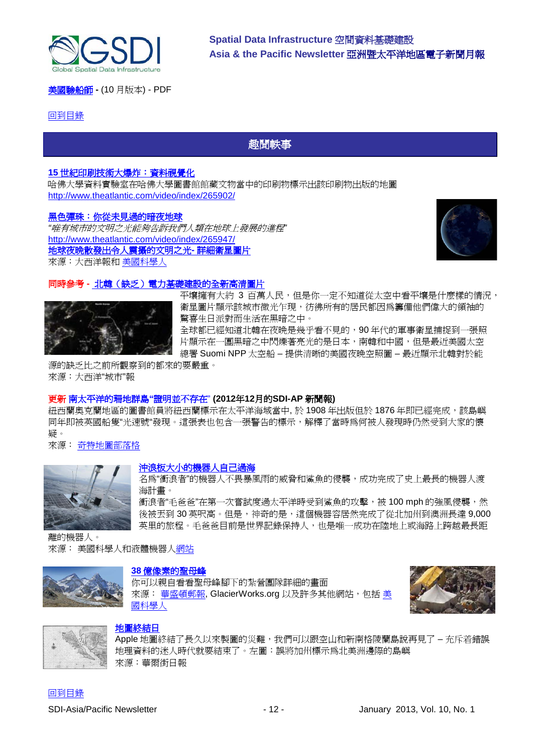

[美國驗船師](http://mycoordinates.org/pdf/oct12.pdf) **-** (10 月版本) - PDF

#### <span id="page-11-0"></span>[回到目錄](#page-0-0)

趣聞軼事

**Spatial Data Infrastructure** 空間資料基礎建設

**Asia & the Pacific Newsletter** 亞洲暨太平洋地區電子新聞月報

#### **15** [世紀印刷技術大爆炸:資料視覺化](http://www.theatlantic.com/video/archive/2012/12/the-explosion-of-15th-century-printing-a-data-visualization/265902/)

哈佛大學資料實驗室在哈佛大學圖書館館藏文物當中的印刷物標示出該印刷物出版的地圖 <http://www.theatlantic.com/video/index/265902/>

#### [黑色彈珠:你從未見過的暗夜地球](http://www.theatlantic.com/video/archive/2012/12/black-marble/265947/)

*"*唯有城市的文明之光能夠告訴我們人類在地球上發展的進程*"* <http://www.theatlantic.com/video/index/265947/> [地球夜晚散發出令人震攝的文明之光](http://www.theatlantic.com/video/archive/2012/12/an-amazing-hyper-detailed-view-of-the-earth-at-night/265974/)**-** 詳細衛星圖片 來源:大西洋報和 [美國科學人](http://www.scientificamerican.com/gallery_directory.cfm?photo_id=3C6E805D-EFD9-11DC-02173DB7C17CF9AB&WT.mc_id=SA_WR_20121212)



#### 同時參考 **-** [北韓\(缺乏\)電力基礎建設的全新高清圖片](http://www.theatlanticcities.com/technology/2012/12/new-highly-detailed-image-north-koreas-lack-electrical-infrastructure/4201/)



平壤擁有大約 3 百萬人民,但是你一定不知道從太空中看平壤是什麼樣的情況, 衛星圖片顯示該城市微光乍現,彷彿所有的居民都因爲籌備他們偉大的領袖的 驚喜生日派對而生活在黑暗之中。 全球都已經知道北韓在夜晚是幾乎看不見的,90 年代的軍事衛星捕捉到一張照

片顯示在一團黑暗之中閃爍著亮光的是日本,南韓和中國,但是最近美國太空 總署 Suomi NPP 太空船 – 提供清晰的美國夜晚空照圖 – 最近顯示北韓對於能

源的缺乏比之前所觀察到的都來的要嚴重。 來源:大西洋"城市"報

#### 更新 南太平洋的珊地群島**"**證明並不存在" **(2012**年**12**月的**SDI-AP** 新聞報**)**

紐西蘭奧克蘭地區的圖書館員將紐西蘭標示在太平洋海域當中, 於 1908 年出版但於 1876 年即已經完成,該島嶼 同年即被英國船隻"光速號"發現。這張表也包含一張警告的標示,解釋了當時為何被人發現時仍然受到大家的懷 疑。

來源: [奇特地圖部落格](http://bigthink.com/strange-maps/588-no-land-ho-sandy-island-and-the-age-of-un-discovery)



#### [沖浪板大小的機器人自己過海](http://www.scientificamerican.com/article.cfm?id=this-surfboard-sized-robot-just-pro-2012-12&WT.mc_id=SA_CAT_physics_20121207)

名為"衝浪者"的機器人不畏暴風雨的威脅和鯊魚的侵襲,成功完成了史上最長的機器人渡 海計畫。

衝浪者"毛爸爸"在第一次嘗試度過太平洋時受到鯊魚的攻擊,被 100 mph 的強風侵襲,然 後被丟到 30 英呎高。但是,神奇的是,這個機器容居然完成了從北加州到澳洲長達 9,000 英里的旅程。毛爸爸目前是世界記錄保持人,也是唯一成功在陸地上或海路上跨越最長距

離的機器人。 來源: 美國科學人和液體機器[人網站](http://liquidr.com/pacx/pacific-crossing.html)

## **38** [億像素的聖母峰](https://s3.amazonaws.com/Gigapans/EBC_Pumori_050112_8bit_FLAT/EBC_Pumori_050112_8bit_FLAT.html)

你可以親自看看聖母峰腳下的紮營團隊詳細的畫面 來源: [華盛頓郵報](http://www.washingtonpost.com/blogs/worldviews/wp/2012/12/18/photo-mount-everest-in-two-billion-pixels/), GlacierWorks.org 以及許多其他網站, 包括 [美](http://blogs.scientificamerican.com/compound-eye/2012/12/18/everest-in-two-billion-pixels/?WT_mc_id=SA_DD_20121219) [國科學人](http://blogs.scientificamerican.com/compound-eye/2012/12/18/everest-in-two-billion-pixels/?WT_mc_id=SA_DD_20121219)





#### [地圖終結日](http://online.wsj.com/article/SB10001424127887324461604578191471150162626.html?mod=WSJASIA_hpp_MIDDLESecondNews)

Apple 地圖終結了長久以來製圖的災難,我們可以跟空山和新南格陵蘭島說再見了 – 充斥着錯誤 地理資料的迷人時代就要結束了。左圖:誤將加州標示為北美洲邊際的島嶼 來源:華爾街日報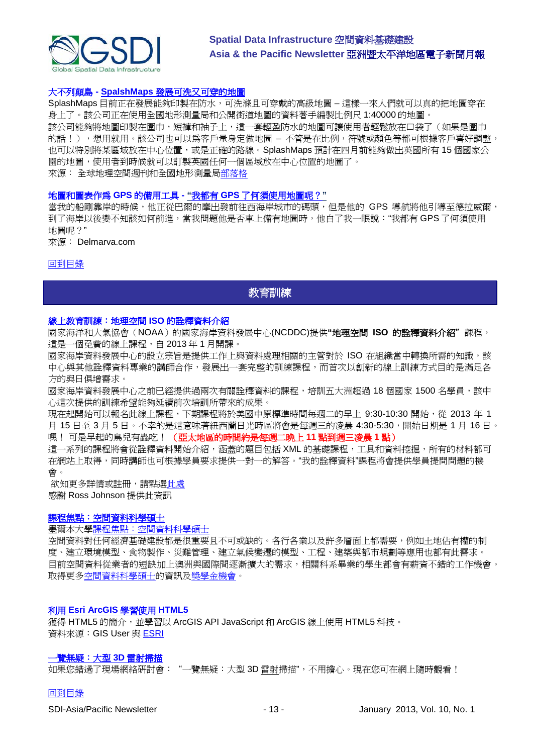

#### 大不列顛島 **- SpalshMaps** [發展可洗又可穿的地圖](http://www.geospatialworld.net/News/View.aspx?id=26043_Article)

SplashMaps 目前正在發展能夠印製在防水,可洗滌且可穿戴的高級地圖 – 這樣一來人們就可以真的把地圖穿在 身上了。該公司正在使用全國地形測量局和公開街道地圖的資料著手編製比例尺 1:40000 的地圖。

該公司能夠將地圖印製在圍巾,短褲和袖子上,這一套輕盈防水的地圖可讓使用者輕鬆放在口袋了(如果是圍巾 的話!),想用就用。該公司也可以為客戶量身定做地圖 – 不管是在比例,符號或顏色等都可根據客戶喜好調整, 也可以特別將某區域放在中心位置,或是正確的路線。SplashMaps 預計在四月前能夠做出英國所有 15 個國家公 園的地圖,使用者到時候就可以訂製英國任何一個區域放在中心位置的地圖了。

來源: 全球地理空間週刊和全國地形測量[局部落格](http://blog.ordnancesurvey.co.uk/2012/12/wearing-your-map-on-your-sleeve/)

#### 地圖和圖表作為 **GPS** 的備用工具 **- "**我都有 **GPS** [了何須使用地圖呢?](http://www.delmarvanow.com/apps/pbcs.dll/article?AID=/20121223/SPORTS/312230031/Maps-charts-backups-GPS?odyssey=tab%7Ctopnews%7Ctext%7CSports&gcheck=1&nclick_check=1)**"**

當我的船剛靠岸的時候,他正從巴爾的摩出發前往西海岸城市的碼頭,但是他的 GPS 導航將他引導至德拉威爾, 到了海岸以後變不知該如何前進,當我問題他是否車上備有地圖時,他白了我一眼說:"我都有 GPS 了何須使用 地圖呢?"

來源: Delmarva.com

#### <span id="page-12-0"></span>[回到目錄](#page-0-0)

## 教育訓練

#### 線上教育訓練:地理空間 **ISO** 的詮釋資料介紹

國家海洋和大氣協會(NOAA)的國家海岸資料發展中心(NCDDC)提供**"**地理空間 **ISO** 的詮釋資料介紹"課程, 這是一個免費的線上課程,自 2013 年 1 月開課。

國家海岸資料發展中心的設立宗旨是提供工作上與資料處理相關的主管對於 ISO 在組織當中轉換所需的知識,該 中心與其他詮釋資料專業的講師合作,發展出一套完整的訓練課程,而首次以創新的線上訓練方式目的是滿足各 方的與日俱增需求。

國家海岸資料發展中心之前已經提供過兩次有關詮釋資料的課程,培訓五大洲超過 18 個國家 1500 名學員,該中 心這次提供的訓練希望能夠延續前次培訓所帶來的成果。

現在起開始可以報名此線上課程,下期課程將於美國中原標準時間每週二的早上 9:30-10:30 開始,從 2013 年 1 月 15 日至 3 月 5 日。不幸的是這意味著紐西蘭日光時區將會是每週三的凌晨 4:30-5:30,開始日期是 1 月 16 日。 嘿! 可是早起的鳥兒有蟲吃! (亞太地區的時間約是每週二晚上 **11** 點到週三凌晨 **1** 點)

這一系列的課程將會從詮釋資料開始介紹,涵蓋的題目包括 XML 的基礎課程,工具和資料控掘,所有的材料都可 在網站上取得,同時講師也可根據學員要求提供一對一的解答。"我的詮釋資料"課程將會提供學員提問問題的機 會。

欲知更多詳情或註冊,請點[選此處](http://www.ncddc.noaa.gov/metadata-standards/metadata-training/course-one/) 感謝 Ross Johnson 提供此資訊

#### [課程焦點:空間資料科學碩士](http://themelbourneengineer.eng.unimelb.edu.au/2012/02/course-spotlight-master-of-spatial-information-science/)

#### 墨爾本大[學課程焦點:空間資料科學碩士](http://themelbourneengineer.eng.unimelb.edu.au/2012/02/course-spotlight-master-of-spatial-information-science/)

空間資料對任何經濟基礎建設都是很重要且不可或缺的。各行各業以及許多層面上都需要,例如土地佔有權的制 度、建立環境模型、食物製作、災難管理、建立氣候變遷的模型、工程、建築與都市規劃等應用也都有此需求。 目前空間資料從業者的短缺加上澳洲與國際間逐漸擴大的需求,相關科系畢業的學生都會有薪資不錯的工作機會。 取得更[多空間資料科學碩士的](http://www.msi.unimelb.edu.au/study/graduate/master-of-spatial-information-science/)資訊[及獎學金機會。](http://www.eng.unimelb.edu.au/study/graduate/scholarships.html)

#### 利用 **[Esri ArcGIS](http://www.gisuser.com/content/view/25915/2/)** 學習使用 **HTML5**

獲得 HTML5 的簡介,並學習以 ArcGIS API JavaScript 和 ArcGIS 線上使用 HTML5 科技。 資料來源: GIS User 與 [ESRI](http://training.esri.com/Gateway/index.cfm?fa=seminars.gateway)

#### [一覽無疑:大型](http://www.faro.com/site/resources/details/1373?CampaignId=70170000000bbwr) **3D** 雷射掃描

如果您錯過了現場網絡研討會:"一覽無疑:大型 3D 雷射掃描",不用擔心。現在您可在網上隨時觀看!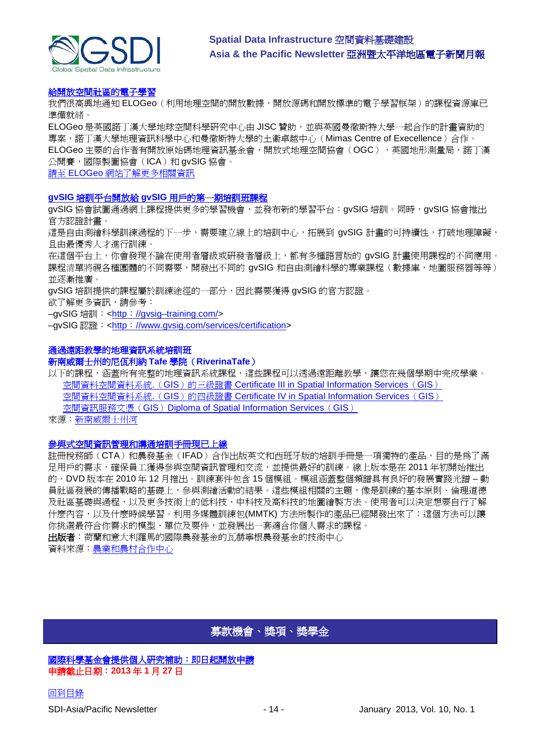

#### [給開放空間社區的電子學習](http://elogeo.nottingham.ac.uk/xmlui)

我們很高興地通知 ELOGeo(利用地理空間的開放數據,開放源碼和開放標準的電子學習框架)的課程資源庫已 準備就緒。

ELOGeo 是英國諾丁漢大學地球空間科學研究中心由 JISC 贊助,並與英國曼徹斯特大學一起合作的計畫資助的 專案,諾丁漢大學地理資訊科學中心和曼徹斯特大學的土衛卓越中心(Mimas Centre of Execellence)合作。 ELOGeo 主要的合作者有開放原始碼地理資訊基金會,開放式地理空間協會(OGC),英國地形測量局,諾丁漢 公開賽,國際製圖協會(ICA)和 gvSIG 協會。

請至 ELOGeo [網站了解更多相關資訊](http://elogeo.nottingham.ac.uk/index.html)

#### **gvSIG** 培訓平台開放給 **gvSIG** 用戶的第一期培訓班課程

gvSIG 協會試圖通過網上課程提供更多的學習機會,並發布新的學習平台:gvSIG 培訓。同時,gvSIG 協會推出 官方認證計畫。

這是自由測繪科學訓練過程的下一步,需要建立線上的培訓中心,拓展到 gvSIG 計畫的可持續性,打破地理障礙, 且由最優秀人才進行訓練。

在這個平台上,你會發現不論在使用者層級或研發者層級上,都有多種語言版的 gvSIG 計畫使用課程的不同應用。 課程清單將視各種團體的不同需要,開發出不同的 gvSIG 和自由測繪科學的專業課程(數據庫,地圖服務器等等) 並逐漸推廣。

gvSIG 培訓提供的課程屬於訓練途徑的一部分,因此需要獲得 gvSIG 的官方認證。

欲了解更多資訊,請參考:

–gvSIG 培訓:<http:[//gvsig–training.com/>](http://gvsig-training.com/)

–gvSIG 認證:<http:[//www.gvsig.com/services/certification>](http://www.gvsig.com/services/certification)

#### 通過遠距教學的地理資訊系統培訓班

新南威爾士州的尼佤利納 **Tafe** 學院(**RiverinaTafe**)

以下的課程,涵蓋所有完整的地理資訊系統課程,這些課程可以透過遠距離教學,讓您在幾個學期中完成學業。 空間資料空間資料系統. (GIS) 的三級證書 [Certificate III in Spatial Information Services](http://www.rit.tafensw.edu.au/nec/nrme/giscourses#Cert III in Spatial Information Services (CPP30109)) (GIS) 空間資料空間資料系統. (GIS) 的四級證書 [Certificate IV in Spatial Information Services](http://www.rit.tafensw.edu.au/nec/nrme/giscourses#Cert IV in Spatial Information Services (CPP40209)) (GIS) 空間資訊服務文憑(GIS) [Diploma of Spatial Information Services](http://www.rit.tafensw.edu.au/nec/nrme/giscourses#Diploma of Spatial Information Services (CPP50207)) (GIS)

來源[:新南威爾士州河](http://www.rit.tafensw.edu.au/nec/nrme/giscourses)

#### [參與式空間資訊管理和溝通培訓手冊現已上線](http://www.cta.int/en/About-us/CTA-news/Participatory-Spatial-Information-Management-and-Communication-Training-Kit-now-available-on-line)

註冊稅務師(CTA)和農發基金(IFAD)合作出版英文和西班牙版的培訓手冊是一項獨特的產品,目的是為了滿 足用戶的需求,確保員工獲得參與空間資訊管理和交流,並提供最好的訓練。線上版本是在 2011 年初開始推出 的,DVD 版本在 2010 年 12 月推出。訓練套件包含 15 個模組。模組涵蓋整個頻譜具有良好的發展實踐光譜 – 動 員社區發展的傳播戰略的基礎上,參與測繪活動的結果。這些模組相關的主題,像是訓練的基本原則、倫理道德 及社區基礎與過程,以及更多技術上的低科技、中科技及高科技的地圖繪製方法。使用者可以決定想要自行了解 什麼內容,以及什麼時候學習。利用多媒體訓練包(MMTK) 方法所製作的產品已經開發出來了;這個方法可以讓 你挑選最符合你需求的模型、單位及要件,並發展出一套適合你個人需求的課程。

出版者:荷蘭和意大利羅馬的國際農發基金的瓦赫寧根農發基金的技術中心 資料來源[:農業和農村合作中心](http://www.cta.int/en/About-us/Who-we-are)

## 募款機會、獎項、獎學金

<span id="page-13-0"></span>[國際科學基金會提供個人研究補助:即日起開放申請](http://www.ifs.se/) 申請截止日期:**2013** 年 **1** 月 **27** 日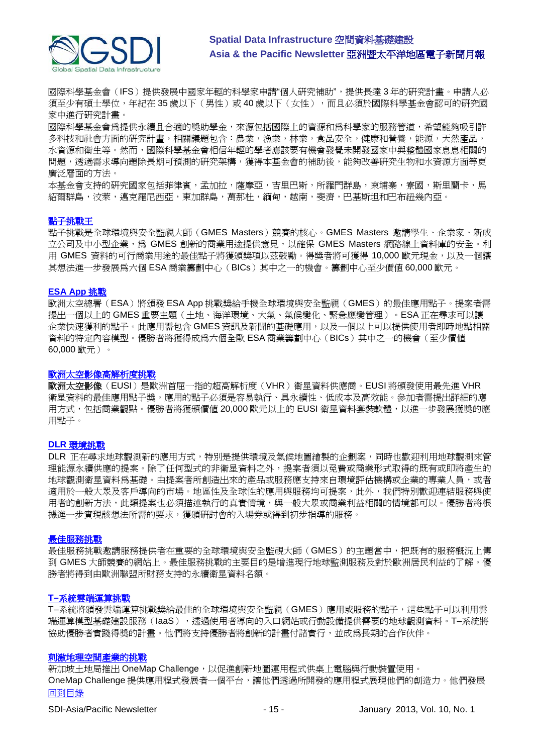

國際科學基金會(IFS)提供發展中國家年輕的科學家申請"個人研究補助",提供長達 3 年的研究計畫。申請人必 須至少有碩士學位,年紀在 35 歲以下(男性)或 40 歲以下(女性),而且必須於國際科學基金會認可的研究國 家中進行研究計畫。

國際科學基金會為提供永續且合適的獎助學金,來源包括國際上的資源和為科學家的服務管道,希望能夠吸引許 多科技和社會方面的研究計畫,相關議題包含:農業,漁業,林業,食品安全,健康和營養,能源,天然產品, 水資源和衛生等。然而,國際科學基金會相信年輕的學者應該要有機會發覺未開發國家中與整體國家息息相關的 問題,透過需求導向題除長期可預測的研究架構,獲得本基金會的補助後,能夠改善研究生物和水資源方面等更 廣泛層面的方法。

本基金會支持的研究國家包括菲律賓,孟加拉,薩摩亞,吉里巴斯,所羅門群島,柬埔寨,寮國,斯里蘭卡,馬 紹爾群島,汶萊,邁克羅尼西亞,東加群島,萬那杜,緬甸,越南,斐濟,巴基斯坦和巴布紐幾內亞。

#### [點子挑戰王](http://www.gmes-masters.com/ideas-challenge)

點子挑戰是全球環境與安全監視大師(GMES Masters)競賽的核心。GMES Masters 邀請學生、企業家、新成 立公司及中小型企業,為 GMES 創新的商業用途提供意見,以確保 GMES Masters 網路線上資料庫的安全。利 用 GMES 資料的可行商業用途的最佳點子將獲頒獎項以茲鼓勵。得獎者將可獲得 10,000 歐元現金,以及一個讓 其想法進一步發展為六個 ESA 商業籌劃中心(BICs)其中之一的機會。籌劃中心至少價值 60,000 歐元。

#### **[ESA App](http://www.gmes-masters.com/esa-app-challenge)** 挑戰

歐洲太空總署(ESA)將頒發 ESA App 挑戰獎給手機全球環境與安全監視(GMES)的最佳應用點子。提案者需 提出一個以上的 GMES 重要主題(土地、海洋環境、大氣、氣候變化、緊急應變管理)。ESA 正在尋求可以讓 企業快速獲利的點子。此應用需包含 GMES 資訊及新聞的基礎應用,以及一個以上可以提供使用者即時地點相關 資料的特定內容模型。優勝者將獲得成為六個全歐 ESA 商業籌劃中心(BICs)其中之一的機會(至少價值 60,000 歐元)。

#### [歐洲太空影像高解析度挑戰](http://www.gmes-masters.com/european-space-0)

歐洲太空影像(EUSI)是歐洲首屈一指的超高解析度(VHR)衛星資料供應商。EUSI 將頒發使用最先進 VHR 衛星資料的最佳應用點子獎。應用的點子必須是容易執行、具永續性、低成本及高效能。參加者需提出詳細的應 用方式,包括商業觀點。優勝者將獲頒價値 20,000 歐元以上的 EUSI 衛星資料套裝軟體,以進一步發展獲獎的應 用點子。

#### **DLR** [環境挑戰](http://www.gmes-masters.com/dlr-environmental)

DLR 正在尋求地球觀測新的應用方式,特別是提供環境及氣候地圖繪製的企劃案,同時也歡迎利用地球觀測來管 理能源永續供應的提案。除了任何型式的非衛星資料之外,提案者須以免費或商業形式取得的既有或即將產生的 地球觀測衛星資料為基礎。由提案者所創造出來的產品或服務應支持來自環境評估機構或企業的專業人員,或者 適用於一般大眾及客戶導向的市場。地區性及全球性的應用與服務均可提案,此外,我們特別歡迎連結服務與使 用者的創新方法,此類提案也必須描述執行的真實情境,與一般大眾或商業利益相關的情境都可以。優勝者將根 據進一步實現該想法所需的要求,獲頒研討會的入場券或得到初步指導的服務。

#### [最佳服務挑戰](http://www.gmes-masters.com/best-service)

最佳服務挑戰邀請服務提供者在重要的全球環境與安全監視大師(GMES)的主題當中,把既有的服務概況上傳 到 GMES 大師競賽的網站上。最佳服務挑戰的主要目的是增進現行地球監測服務及對於歐洲居民利益的了解。優 勝者將得到由歐洲聯盟所財務支持的永續衛星資料名額。

#### **T–**[系統雲端運算挑戰](http://www.gmes-masters.com/t-systems-cloud)

T–系統將頒發雲端運算挑戰獎給最佳的全球環境與安全監視(GMES)應用或服務的點子,這些點子可以利用雲 端運算模型基礎建設服務(IaaS),透過使用者導向的入口網站或行動設備提供需要的地球觀測資料。T–系統將 協助優勝者實踐得獎的計畫。他們將支持優勝者將創新的計畫付諸實行,並成為長期的合作伙伴。

#### [刺激地理空間產業的挑戰](http://geospatialworld.net/index.php?option=com_content&view=article&id=23850:challenge-to-spur-the-geospatial-industry&catid=75:miscellaneous-events)

[回到目錄](#page-0-0) 新加坡土地局推出 OneMap Challenge, 以促進創新地圖運用程式供桌上電腦與行動裝置使用。 OneMap Challenge 提供應用程式發展者一個平台,讓他們透過所開發的應用程式展現他們的創造力。他們發展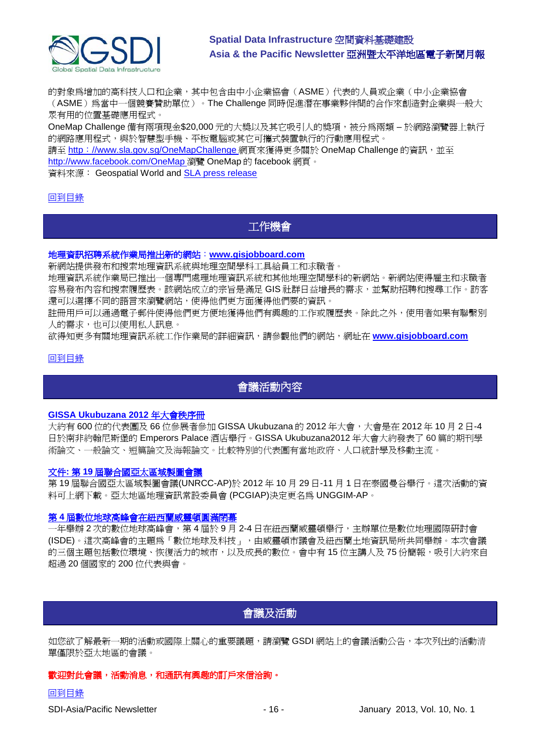

的對象為增加的高科技人口和企業,其中包含由中小企業協會(ASME)代表的人員或企業(中小企業協會 (ASME)為當中一個競賽贊助單位)。The Challenge 同時促進潛在事業夥伴間的合作來創造對企業與一般大 眾有用的位置基礎應用程式。

OneMap Challenge 備有兩項現金\$20,000 元的大獎以及其它吸引人的獎項,被分為兩類 – 於網路瀏覽器上執行 的網路應用程式,與於智慧型手機、平板電腦或其它可攜式裝置執行的行動應用程式。

請至 http:[//www.sla.gov.sg/OneMapChallenge](http://www.sla.gov.sg/OneMapChallenge/) 網頁來獲得更多關於 OneMap Challenge 的資訊,並至 <http://www.facebook.com/OneMap> 瀏覽 OneMap 的 facebook 網頁。

資料來源: Geospatial World and [SLA press release](http://www.sla.gov.sg/htm/new/new2012/new0401.htm)

#### <span id="page-15-0"></span>[回到目錄](#page-0-0)

## 工作機會

#### 地理資訊招聘系統作業局推出新的網站:**[www.gisjobboard.com](http://www.gisjobboard.com/)**

新網站提供發布和搜索地理資訊系統與地理空間學科工具給員工和求職者。

地理資訊系統作業局已推出一個專門處理地理資訊系統和其他地理空間學科的新網站。新網站使得雇主和求職者 容易發布內容和搜索履歷表。該網站成立的宗旨是滿足 GIS 社群日益增長的需求,並幫助招聘和搜尋工作。訪客 還可以選擇不同的語言來瀏覽網站,使得他們更方面獲得他們要的資訊。

註冊用戶可以通過電子郵件使得他們更方便地獲得他們有興趣的工作或履歷表。除此之外,使用者如果有聯繫別 人的需求,也可以使用私人訊息。

欲得知更多有關地理資訊系統工作作業局的詳細資訊,請參觀他們的網站,網址在 **[www.gisjobboard.com](http://www.gisjobboard.com/)**

#### <span id="page-15-1"></span>[回到目錄](#page-0-0)

## 會議活動內容

#### **[GISSA Ukubuzana 2012](http://www.eepublishers.co.za/article/gissa-ukubuzana-2012-conference-proceedings.html)** 年大會秩序冊

大約有 600 位的代表團及 66 位參展者參加 GISSA Ukubuzana 的 2012 年大會,大會是在 2012 年 10 月 2 日-4 日於南非約翰尼斯堡的 Emperors Palace 酒店舉行。GISSA Ukubuzana2012 年大會大約發表了 60 篇的期刊學 術論文、一般論文、短篇論文及海報論文。比較特別的代表團有當地政府、人口統計學及移動主流。

#### 文件**:** 第 **19** [屆聯合國亞太區域製圖會議](http://unstats.un.org/unsd/geoinfo/RCC/unrccap19.html?)

第 19 屆聯合國亞太區域製圖會議(UNRCC-AP)於 2012 年 10 月 29 日-11 月 1 日在泰國曼谷舉行。這次活動的資 料可上網下載。亞太地區地理資訊常設委員會 (PCGIAP)決定更名為 UNGGIM-AP。

#### 第 **4** [屆數位地球高峰會在紐西蘭威靈頓圓滿閉幕](http://digitalearth-isde.org/news/367)

一年舉辦 2 次的數位地球高峰會,第 4 屆於 9 月 2-4 日在紐西蘭威靈頓舉行,主辦單位是數位地理國際研討會 (ISDE)。這次高峰會的主題為「數位地球及科技」,由威靈頓市議會及紐西蘭土地資訊局所共同舉辦。本次會議 的三個主題包括數位環境、恢復活力的城市,以及成長的數位。會中有 15 位主講人及 75 份簡報,吸引大約來自 超過 20 個國家的 200 位代表與會。

## 會議及活動

<span id="page-15-2"></span>如您欲了解最新一期的活動或國際上關心的重要議題,請瀏覽 GSDI 網站上的會議活動公告,本次列出的活動清 單僅限於亞太地區的會議。

#### 歡迎對此會議,活動消息,和通訊有興趣的訂戶來信洽詢。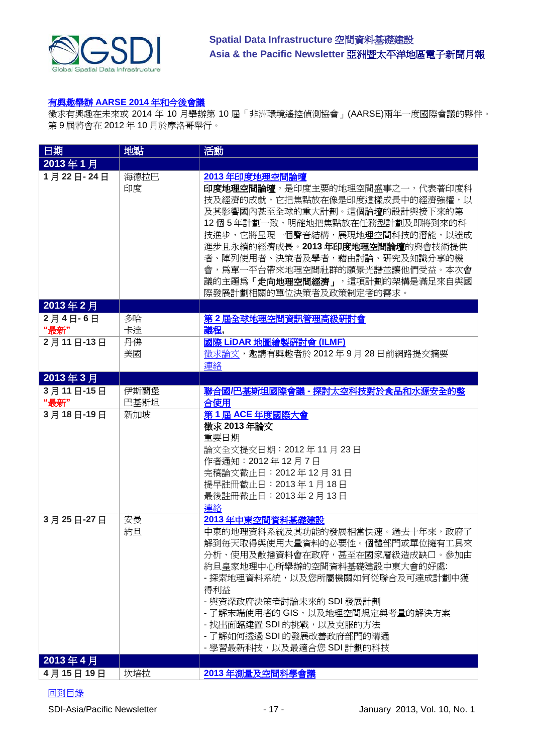

#### 有興趣舉辦 **AARSE 2014** [年和今後會議](http://lists.gsdi.org/pipermail/sdi-africa/2010-November/001135.html)

徵求有興趣在未來或 2014 年 10 月舉辦第 10 屆「非洲環境遙控偵測協會」(AARSE)兩年一度國際會議的夥伴。 第 9 屆將會在 2012 年 10 月於摩洛哥舉行。

| 日期                | 地點           | 活動                                                                                                                                                                                                                                                                                                                                                                 |
|-------------------|--------------|--------------------------------------------------------------------------------------------------------------------------------------------------------------------------------------------------------------------------------------------------------------------------------------------------------------------------------------------------------------------|
| 2013年1月           |              |                                                                                                                                                                                                                                                                                                                                                                    |
| 1月22日-24日         | 海德拉巴<br>印度   | 2013年印度地理空間論壇<br>印度地理空間論壇,是印度主要的地理空間盛事之一,代表著印度科<br>技及經濟的成就,它把焦點放在像是印度這樣成長中的經濟強權,以<br>及其影響國內甚至全球的重大計劃。這個論壇的設計與接下來的第<br>12個5年計劃一致,明確地把焦點放在任務型計劃及即將到來的科<br>技進步,它將呈現一個聲音結構,展現地理空間科技的潛能,以達成<br>進步且永續的經濟成長。2013年印度地理空間論壇的與會技術提供<br>者、陣列使用者、決策者及學者,藉由討論、硏究及知識分享的機<br>會,爲單一平台帶來地理空間社群的願景光譜並讓他們受益。本次會<br>議的主題為「 <b>走向地理空間經濟」</b> ,這項計劃的架構是滿足來自與國<br>際發展計劃相關的單位決策者及政策制定者的需求。 |
| 2013年2月           |              |                                                                                                                                                                                                                                                                                                                                                                    |
| 2月4日-6日           | 多哈           | 第2屆全球地理空間資訊管理高級研討會                                                                                                                                                                                                                                                                                                                                                 |
| "最新"<br>2月11日-13日 | 卡達<br>丹佛     | 議程,<br>國際 LiDAR 地圖繪製研討會 (ILMF)                                                                                                                                                                                                                                                                                                                                     |
|                   | 美國           | 徵求論文,邀請有興趣者於 2012年9月28日前網路提交摘要<br>連絡                                                                                                                                                                                                                                                                                                                               |
| 2013年3月           |              |                                                                                                                                                                                                                                                                                                                                                                    |
| 3月11日-15日<br>"最新" | 伊斯蘭堡<br>巴基斯坦 | 聯合國/巴基斯坦國際會議 - 探討太空科技對於食品和水源安全的整<br>合使用                                                                                                                                                                                                                                                                                                                            |
| 3月18日-19日         | 新加坡          | 第1屆 ACE 年度國際大會<br>徵求 2013 年論文<br>重要日期<br>論文全文提交日期: 2012年11月23日<br>作者通知: 2012年12月7日<br>完稿論文截止日: 2012年12月31日<br>提早註冊截止日: 2013年1月18日<br>最後註冊截止日: 2013年2月13日<br>連絡                                                                                                                                                                                                     |
| 3月25日-27日         | 安曼<br>約旦     | 2013年中東空間資料基礎建設<br>中東的地理資料系統及其功能的發展相當快速。過去十年來,政府了<br>解到毎天取得與使用大量資料的必要性。個體部門或單位擁有工具來<br>分析、使用及散播資料會在政府,甚至在國家層級造成缺口。參加由<br>約旦皇家地理中心所舉辦的空間資料基礎建設中東大會的好處:<br>- 探索地理資料系統,以及您所屬機關如何從聯合及可達成計劃中獲<br>得利益<br>- 與資深政府決策者討論未來的 SDI 發展計劃<br>- 了解末端使用者的 GIS,以及地理空間規定與考量的解決方案<br>- 找出面臨建置 SDI 的挑戰,以及克服的方法<br>- 了解如何透過 SDI 的發展改善政府部門的溝通<br>- 學習最新科技,以及最適合您 SDI 計劃的科技               |
| 2013年4月           |              |                                                                                                                                                                                                                                                                                                                                                                    |
| 4月15日19日          | 坎培拉          | 2013年測量及空間科學會議                                                                                                                                                                                                                                                                                                                                                     |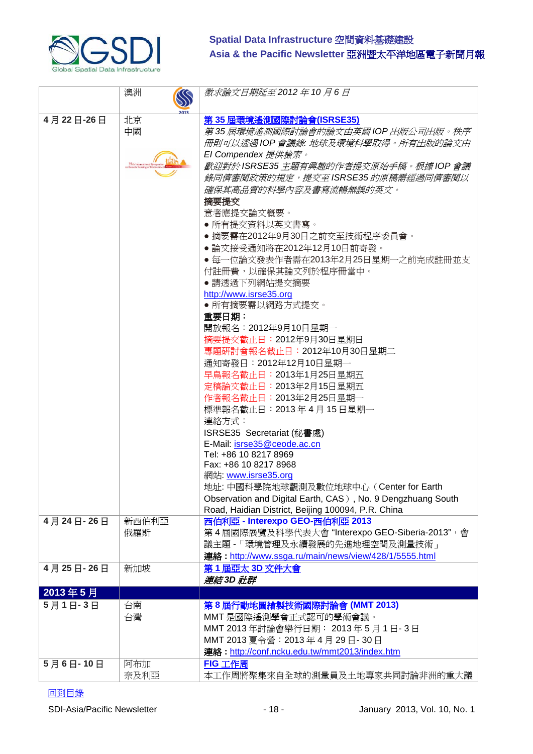

|           | 澳洲<br>$\mathbb{Q}$    | 徵求論文日期延至 2012 年 10 月 6 日                                    |
|-----------|-----------------------|-------------------------------------------------------------|
|           |                       |                                                             |
| 4月22日-26日 | 北京                    | 第 35 屆環境遙測國際討論會(ISRSE35)                                    |
|           | 中國                    | 第 35 屆環境遙測國際討論會的論文由英國 IOP 出版公司出版。秩序                         |
|           |                       | 冊則可以透過 IOP 會議錄: 地球及環境科學取得。所有出版的論文由                          |
|           |                       | El Compendex 提供檢索。                                          |
|           | 35th International St | 歡迎對於 ISRSE35 主題有興趣的作者提交原始手稿。根據 IOP 會議                       |
|           |                       | 錄同儕審閱政策的規定,提交至ISRSE35的原稿需經過同儕審閱以                            |
|           |                       | 確保其高品質的科學內容及書寫流暢無誤的英文。                                      |
|           |                       | 摘要提交                                                        |
|           |                       | 意者應提交論文概要。                                                  |
|           |                       | ● 所有提交資料以英文書寫。                                              |
|           |                       | ● 摘要需在2012年9月30日之前交至技術程序委員會。                                |
|           |                       | ● 論文接受通知將在2012年12月10日前寄發。                                   |
|           |                       | ● 每一位論文發表作者需在2013年2月25日星期一之前完成註冊並支                          |
|           |                       | 付註冊費,以確保其論文列於程序冊當中。                                         |
|           |                       | •請透過下列網站提交摘要                                                |
|           |                       | http://www.isrse35.org                                      |
|           |                       | • 所有摘要需以網路方式提交。                                             |
|           |                       | 重要日期:                                                       |
|           |                       | 開放報名:2012年9月10日星期一                                          |
|           |                       | 摘要提交截止日: 2012年9月30日星期日                                      |
|           |                       | 專題硏討會報名截止日: 2012年10月30日星期二                                  |
|           |                       | 通知寄發日:2012年12月10日星期一                                        |
|           |                       | 早鳥報名截止日: 2013年1月25日星期五                                      |
|           |                       | 定稿論文截止日: 2013年2月15日星期五                                      |
|           |                       | 作者報名截止日: 2013年2月25日星期一                                      |
|           |                       | 標準報名截止日: 2013年4月15日星期一                                      |
|           |                       | 連絡方式:                                                       |
|           |                       | ISRSE35 Secretariat (秘書處)                                   |
|           |                       | E-Mail: isrse35@ceode.ac.cn                                 |
|           |                       | Tel: +86 10 8217 8969                                       |
|           |                       | Fax: +86 10 8217 8968                                       |
|           |                       | 網站 www.isrse35.org                                          |
|           |                       | 地址: 中國科學院地球觀測及數位地球中心 (Center for Earth                      |
|           |                       | Observation and Digital Earth, CAS), No. 9 Dengzhuang South |
|           |                       | Road, Haidian District, Beijing 100094, P.R. China          |
| 4月24日-26日 | 新西伯利亞                 | 西伯利亞 - Interexpo GEO-西伯利亞 2013                              |
|           | 俄羅斯                   | 第4屆國際展覽及科學代表大會"Interexpo GEO-Siberia-2013",會                |
|           |                       | 議主題 - 「環境管理及永續發展的先進地理空間及測量技術」                               |
|           |                       | 連絡: http://www.ssga.ru/main/news/view/428/1/5555.html       |
| 4月25日-26日 | 新加坡                   | 第1屆亞太 3D 文件大會                                               |
|           |                       | <i>連結</i> 3D 社群                                             |
| 2013年5月   |                       |                                                             |
| 5月1日-3日   | 台南                    | 第8屆行動地圖繪製技術國際討論會 (MMT 2013)                                 |
|           | 台灣                    | MMT 是國際遙測學會正式認可的學術會議。                                       |
|           |                       | MMT 2013年討論會舉行日期: 2013年5月1日-3日                              |
|           |                       | MMT 2013 夏令營: 2013年4月29日-30日                                |
|           |                       | 連絡: http://conf.ncku.edu.tw/mmt2013/index.htm               |
| 5月6日-10日  | 阿布加                   | FIG 工作周                                                     |
|           | 奈及利亞                  | 本工作周將聚集來自全球的測量員及土地專家共同討論非洲的重大議                              |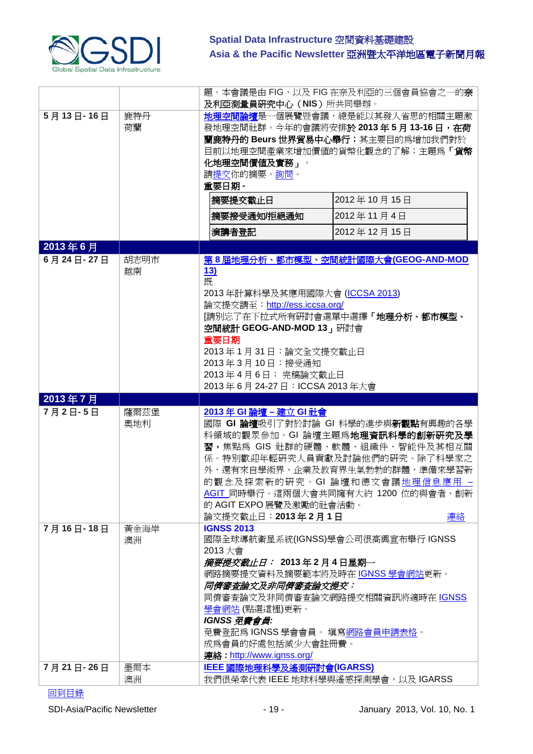

|           |      |                                                    | 題。本會議是由 FIG,以及 FIG 在奈及利亞的三個會員協會之一的奈                             |
|-----------|------|----------------------------------------------------|-----------------------------------------------------------------|
|           |      | 及利亞測量員研究中心 (NIS) 所共同舉辦。                            |                                                                 |
| 5月13日-16日 | 鹿特丹  |                                                    | <b>地理空間論壇</b> 是一個展覽暨會議,總是能以其發人省思的相關主題激                          |
|           | 荷蘭   |                                                    | 發地理空間社群。今年的會議將安排於 2013 年 5 月 13-16 日,在荷                         |
|           |      |                                                    | 蘭鹿特丹的 Beurs 世界貿易中心舉行;其主要目的爲增加我們對於                               |
|           |      |                                                    | 目前以地理空間產業來增加價值的貨幣化觀念的了解;主題爲「 <b>貨幣</b>                          |
|           |      | 化地理空間價値及實務」。                                       |                                                                 |
|           |      | 請提交你的摘要。詢問。                                        |                                                                 |
|           |      | 重要日期 -                                             |                                                                 |
|           |      | 摘要提交截止日                                            | 2012年10月15日                                                     |
|           |      | 摘要接受通知/拒絕通知                                        | 2012年11月4日                                                      |
|           |      | 演講者登記                                              | 2012年12月15日                                                     |
| 2013年6月   |      |                                                    |                                                                 |
| 6月24日-27日 | 胡志明市 |                                                    | 第8屆地理分析、都市模型、空間統計國際大會(GEOG-AND-MOD                              |
|           | 越南   | 13)                                                |                                                                 |
|           |      | 既                                                  |                                                                 |
|           |      | 2013年計算科學及其應用國際大會 (ICCSA 2013)                     |                                                                 |
|           |      | 論文提交請至: http://ess.iccsa.org/                      |                                                                 |
|           |      |                                                    | [請別忘了在下拉式所有硏討會選單中選擇「 <b>地理分析、都市模型、</b>                          |
|           |      | 空間統計 GEOG-AND-MOD 13, 研討會                          |                                                                 |
|           |      | 重要日期                                               |                                                                 |
|           |      | 2013年1月31日:論文全文提交截止日<br>2013年3月10日: 接受通知           |                                                                 |
|           |      | 2013年4月6日: 完稿論文截止日                                 |                                                                 |
|           |      | 2013年6月24-27日: ICCSA 2013年大會                       |                                                                 |
|           |      |                                                    |                                                                 |
|           |      |                                                    |                                                                 |
| 2013年7月   |      |                                                    |                                                                 |
| 7月2日-5日   | 薩爾茲堡 | 2013年 GI 論壇 - 建立 GI 社會                             |                                                                 |
|           | 奧地利  |                                                    | 國際 GI 論壇吸引了對於討論 GI 科學的進步與新觀點有興趣的各學                              |
|           |      |                                                    | 科領域的觀眾參加。GI 論壇主題為地理資訊科學的創新研究及學                                  |
|           |      |                                                    | 習,焦點為 GIS 社群的硬體、軟體、組織件、智能件及其相互關                                 |
|           |      |                                                    | 係。特別歡迎年輕硏究人員貢獻及討論他們的硏究。除了科學家之<br>外,還有來自學術界、企業及教育界生氣勃勃的群體,準備來學習新 |
|           |      |                                                    | 的觀念及探索新的研究。GI 論壇和德文會議地理信息應用 -                                   |
|           |      |                                                    | AGIT_同時舉行。這兩個大會共同擁有大約 1200 位的與會者、創新                             |
|           |      | 的 AGIT EXPO 展覽及激勵的社會活動。                            |                                                                 |
|           |      | 論文提交截止日: 2013年2月1日                                 | 連絡                                                              |
| 7月16日-18日 | 黃金海岸 | <b>IGNSS 2013</b>                                  |                                                                 |
|           | 澳洲   | 國際全球導航衛星系統(IGNSS)學會公司很高興宣布舉行 IGNSS                 |                                                                 |
|           |      | 2013大會                                             |                                                                 |
|           |      | <i>摘要提交截止日:</i> 2013年2月4日星期─                       |                                                                 |
|           |      | 網路摘要提交資料及摘要範本將及時在 IGNSS 學會網站更新。                    |                                                                 |
|           |      | <i>同儕審査論文及非同儕審査論文提交:</i>                           |                                                                 |
|           |      |                                                    | 同儕審查論文及非同儕審查論文網路提交相關資訊將適時在 IGNSS                                |
|           |      | <u>學會網站</u> (點選這裡)更新。                              |                                                                 |
|           |      | IGNSS 免費會員:                                        |                                                                 |
|           |      | 免費登記爲 IGNSS 學會會員。 填寫網路會員申請表格。<br>成爲會員的好處包括減少大會註冊費。 |                                                                 |
|           |      | 連絡: http://www.ignss.org/                          |                                                                 |
| 7月21日-26日 | 墨爾本  | IEEE 國際地理科學及遙測研討會(IGARSS)                          |                                                                 |